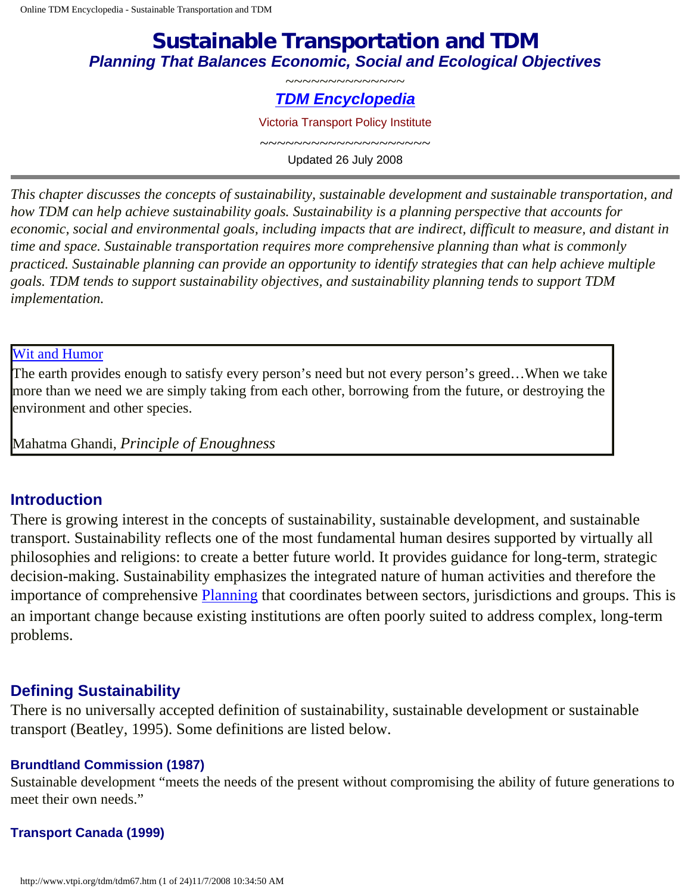# **Sustainable Transportation and TDM** *Planning That Balances Economic, Social and Ecological Objectives*

#### ~~~~~~~~~~~~~~ *[TDM Encyclopedia](http://www.vtpi.org/tdm/tdm12.htm)*

Victoria Transport Policy Institute

 $\sim\sim\sim\sim\sim\sim\sim\sim\sim\sim\sim\sim\sim\sim\sim\sim\sim\sim$ Updated 26 July 2008

*This chapter discusses the concepts of sustainability, sustainable development and sustainable transportation, and how TDM can help achieve sustainability goals. Sustainability is a planning perspective that accounts for economic, social and environmental goals, including impacts that are indirect, difficult to measure, and distant in time and space. Sustainable transportation requires more comprehensive planning than what is commonly practiced. Sustainable planning can provide an opportunity to identify strategies that can help achieve multiple goals. TDM tends to support sustainability objectives, and sustainability planning tends to support TDM implementation.*

#### [Wit and Humor](http://www.vtpi.org/tdm/tdm94.htm)

The earth provides enough to satisfy every person's need but not every person's greed…When we take more than we need we are simply taking from each other, borrowing from the future, or destroying the environment and other species.

Mahatma Ghandi, *Principle of Enoughness*

#### **Introduction**

There is growing interest in the concepts of sustainability, sustainable development, and sustainable transport. Sustainability reflects one of the most fundamental human desires supported by virtually all philosophies and religions: to create a better future world. It provides guidance for long-term, strategic decision-making. Sustainability emphasizes the integrated nature of human activities and therefore the importance of comprehensive [Planning](http://www.vtpi.org/tdm/tdm50.htm) that coordinates between sectors, jurisdictions and groups. This is an important change because existing institutions are often poorly suited to address complex, long-term problems.

## **Defining Sustainability**

There is no universally accepted definition of sustainability, sustainable development or sustainable transport (Beatley, 1995). Some definitions are listed below.

#### **Brundtland Commission (1987)**

Sustainable development "meets the needs of the present without compromising the ability of future generations to meet their own needs."

#### **Transport Canada (1999)**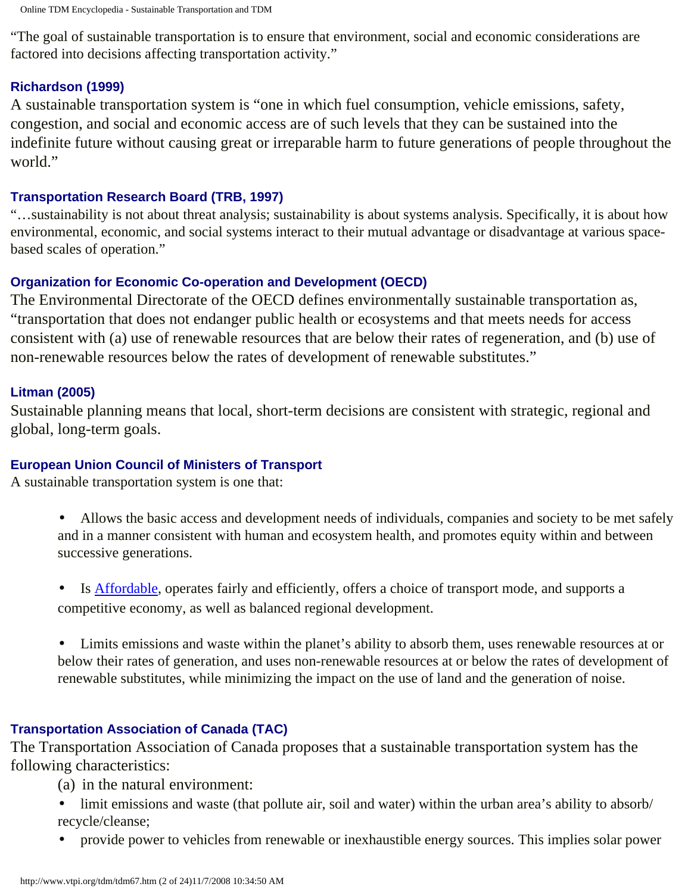"The goal of sustainable transportation is to ensure that environment, social and economic considerations are factored into decisions affecting transportation activity."

#### **Richardson (1999)**

A sustainable transportation system is "one in which fuel consumption, vehicle emissions, safety, congestion, and social and economic access are of such levels that they can be sustained into the indefinite future without causing great or irreparable harm to future generations of people throughout the world."

#### **Transportation Research Board (TRB, 1997)**

"…sustainability is not about threat analysis; sustainability is about systems analysis. Specifically, it is about how environmental, economic, and social systems interact to their mutual advantage or disadvantage at various spacebased scales of operation."

## **Organization for Economic Co-operation and Development (OECD)**

The Environmental Directorate of the OECD defines environmentally sustainable transportation as, "transportation that does not endanger public health or ecosystems and that meets needs for access consistent with (a) use of renewable resources that are below their rates of regeneration, and (b) use of non-renewable resources below the rates of development of renewable substitutes."

#### **Litman (2005)**

Sustainable planning means that local, short-term decisions are consistent with strategic, regional and global, long-term goals.

#### **European Union Council of Ministers of Transport**

A sustainable transportation system is one that:

- Allows the basic access and development needs of individuals, companies and society to be met safely and in a manner consistent with human and ecosystem health, and promotes equity within and between successive generations.
- Is **Affordable**, operates fairly and efficiently, offers a choice of transport mode, and supports a competitive economy, as well as balanced regional development.
- Limits emissions and waste within the planet's ability to absorb them, uses renewable resources at or below their rates of generation, and uses non-renewable resources at or below the rates of development of renewable substitutes, while minimizing the impact on the use of land and the generation of noise.

## **Transportation Association of Canada (TAC)**

The Transportation Association of Canada proposes that a sustainable transportation system has the following characteristics:

- (a) in the natural environment:
- limit emissions and waste (that pollute air, soil and water) within the urban area's ability to absorb/ recycle/cleanse;
- provide power to vehicles from renewable or inexhaustible energy sources. This implies solar power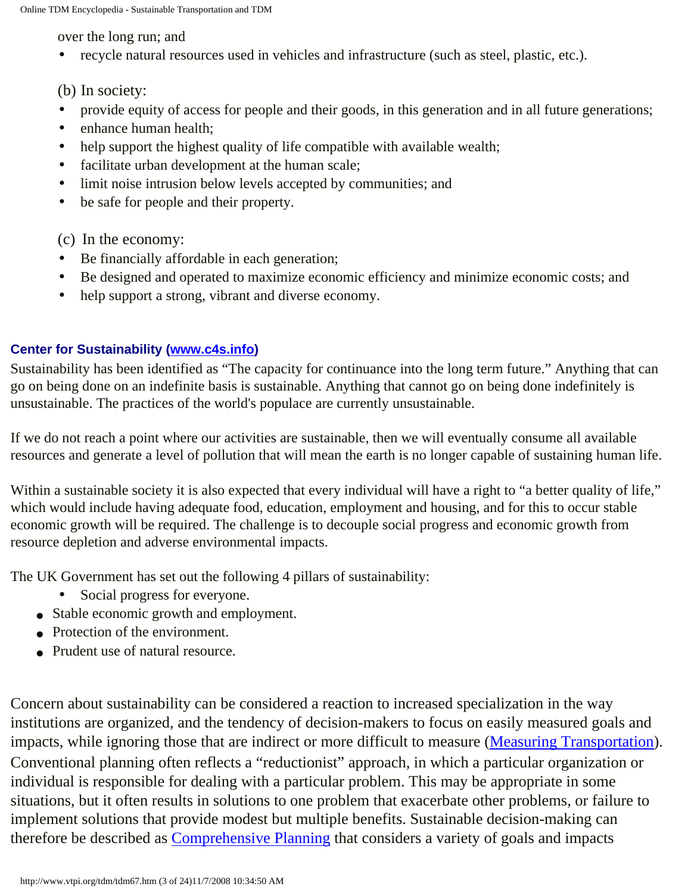over the long run; and

• recycle natural resources used in vehicles and infrastructure (such as steel, plastic, etc.).

(b) In society:

- provide equity of access for people and their goods, in this generation and in all future generations;
- enhance human health:
- help support the highest quality of life compatible with available wealth;
- facilitate urban development at the human scale;
- limit noise intrusion below levels accepted by communities; and
- be safe for people and their property.

(c) In the economy:

- Be financially affordable in each generation;
- Be designed and operated to maximize economic efficiency and minimize economic costs; and
- help support a strong, vibrant and diverse economy.

#### **Center for Sustainability ([www.c4s.info](http://www.c4s.info/))**

Sustainability has been identified as "The capacity for continuance into the long term future." Anything that can go on being done on an indefinite basis is sustainable. Anything that cannot go on being done indefinitely is unsustainable. The practices of the world's populace are currently unsustainable.

If we do not reach a point where our activities are sustainable, then we will eventually consume all available resources and generate a level of pollution that will mean the earth is no longer capable of sustaining human life.

Within a sustainable society it is also expected that every individual will have a right to "a better quality of life," which would include having adequate food, education, employment and housing, and for this to occur stable economic growth will be required. The challenge is to decouple social progress and economic growth from resource depletion and adverse environmental impacts.

The UK Government has set out the following 4 pillars of sustainability:

- Social progress for everyone.
- Stable economic growth and employment.
- Protection of the environment.
- Prudent use of natural resource.

Concern about sustainability can be considered a reaction to increased specialization in the way institutions are organized, and the tendency of decision-makers to focus on easily measured goals and impacts, while ignoring those that are indirect or more difficult to measure [\(Measuring Transportation\)](http://www.vtpi.org/tdm/tdm55.htm). Conventional planning often reflects a "reductionist" approach, in which a particular organization or individual is responsible for dealing with a particular problem. This may be appropriate in some situations, but it often results in solutions to one problem that exacerbate other problems, or failure to implement solutions that provide modest but multiple benefits. Sustainable decision-making can therefore be described as [Comprehensive Planning](http://www.vtpi.org/tdm/tdm76.htm) that considers a variety of goals and impacts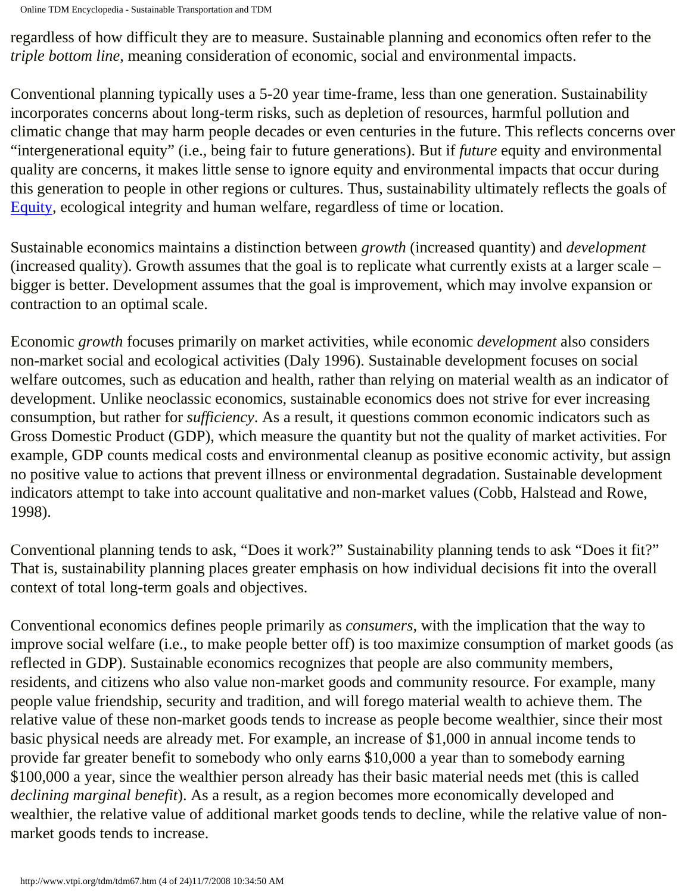Online TDM Encyclopedia - Sustainable Transportation and TDM

regardless of how difficult they are to measure. Sustainable planning and economics often refer to the *triple bottom line*, meaning consideration of economic, social and environmental impacts.

Conventional planning typically uses a 5-20 year time-frame, less than one generation. Sustainability incorporates concerns about long-term risks, such as depletion of resources, harmful pollution and climatic change that may harm people decades or even centuries in the future. This reflects concerns over "intergenerational equity" (i.e., being fair to future generations). But if *future* equity and environmental quality are concerns, it makes little sense to ignore equity and environmental impacts that occur during this generation to people in other regions or cultures. Thus, sustainability ultimately reflects the goals of [Equity,](http://www.vtpi.org/tdm/tdm13.htm) ecological integrity and human welfare, regardless of time or location.

Sustainable economics maintains a distinction between *growth* (increased quantity) and *development* (increased quality). Growth assumes that the goal is to replicate what currently exists at a larger scale – bigger is better. Development assumes that the goal is improvement, which may involve expansion or contraction to an optimal scale.

Economic *growth* focuses primarily on market activities, while economic *development* also considers non-market social and ecological activities (Daly 1996). Sustainable development focuses on social welfare outcomes, such as education and health, rather than relying on material wealth as an indicator of development. Unlike neoclassic economics, sustainable economics does not strive for ever increasing consumption, but rather for *sufficiency*. As a result, it questions common economic indicators such as Gross Domestic Product (GDP), which measure the quantity but not the quality of market activities. For example, GDP counts medical costs and environmental cleanup as positive economic activity, but assign no positive value to actions that prevent illness or environmental degradation. Sustainable development indicators attempt to take into account qualitative and non-market values (Cobb, Halstead and Rowe, 1998).

Conventional planning tends to ask, "Does it work?" Sustainability planning tends to ask "Does it fit?" That is, sustainability planning places greater emphasis on how individual decisions fit into the overall context of total long-term goals and objectives.

Conventional economics defines people primarily as *consumers*, with the implication that the way to improve social welfare (i.e., to make people better off) is too maximize consumption of market goods (as reflected in GDP). Sustainable economics recognizes that people are also community members, residents, and citizens who also value non-market goods and community resource. For example, many people value friendship, security and tradition, and will forego material wealth to achieve them. The relative value of these non-market goods tends to increase as people become wealthier, since their most basic physical needs are already met. For example, an increase of \$1,000 in annual income tends to provide far greater benefit to somebody who only earns \$10,000 a year than to somebody earning \$100,000 a year, since the wealthier person already has their basic material needs met (this is called *declining marginal benefit*). As a result, as a region becomes more economically developed and wealthier, the relative value of additional market goods tends to decline, while the relative value of nonmarket goods tends to increase.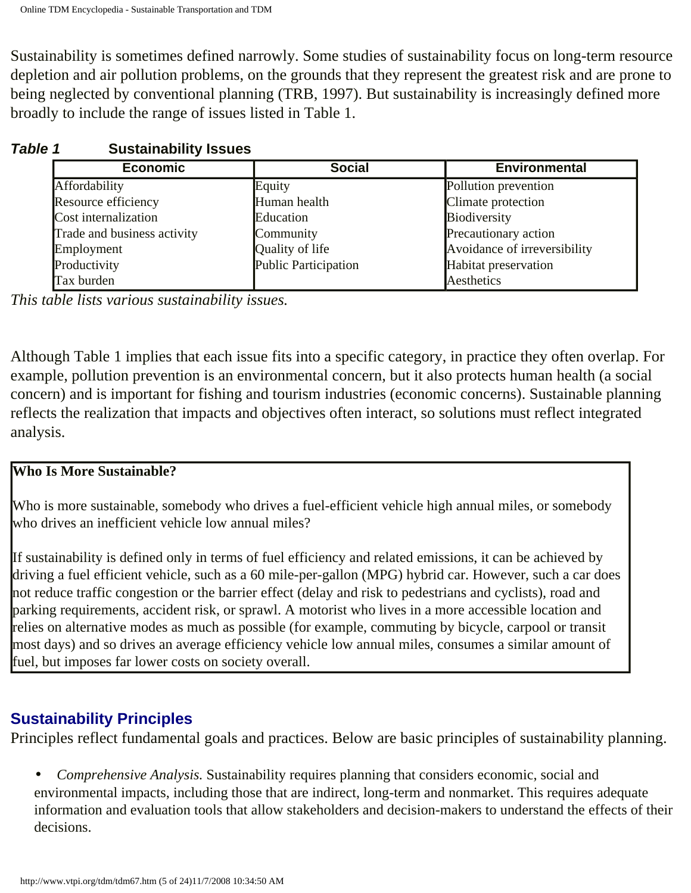Sustainability is sometimes defined narrowly. Some studies of sustainability focus on long-term resource depletion and air pollution problems, on the grounds that they represent the greatest risk and are prone to being neglected by conventional planning (TRB, 1997). But sustainability is increasingly defined more broadly to include the range of issues listed in Table 1.

| <b>Economic</b>             | <b>Social</b>               | <b>Environmental</b>         |
|-----------------------------|-----------------------------|------------------------------|
| Affordability               | Equity                      | Pollution prevention         |
| Resource efficiency         | Human health                | Climate protection           |
| Cost internalization        | Education                   | Biodiversity                 |
| Trade and business activity | Community                   | Precautionary action         |
| Employment                  | Quality of life             | Avoidance of irreversibility |
| Productivity                | <b>Public Participation</b> | Habitat preservation         |
| Tax burden                  |                             | Aesthetics                   |

## *Table 1* **Sustainability Issues**

*This table lists various sustainability issues.* 

Although Table 1 implies that each issue fits into a specific category, in practice they often overlap. For example, pollution prevention is an environmental concern, but it also protects human health (a social concern) and is important for fishing and tourism industries (economic concerns). Sustainable planning reflects the realization that impacts and objectives often interact, so solutions must reflect integrated analysis.

## **Who Is More Sustainable?**

Who is more sustainable, somebody who drives a fuel-efficient vehicle high annual miles, or somebody who drives an inefficient vehicle low annual miles?

If sustainability is defined only in terms of fuel efficiency and related emissions, it can be achieved by driving a fuel efficient vehicle, such as a 60 mile-per-gallon (MPG) hybrid car. However, such a car does not reduce traffic congestion or the barrier effect (delay and risk to pedestrians and cyclists), road and parking requirements, accident risk, or sprawl. A motorist who lives in a more accessible location and relies on alternative modes as much as possible (for example, commuting by bicycle, carpool or transit most days) and so drives an average efficiency vehicle low annual miles, consumes a similar amount of fuel, but imposes far lower costs on society overall.

# **Sustainability Principles**

Principles reflect fundamental goals and practices. Below are basic principles of sustainability planning.

• *Comprehensive Analysis.* Sustainability requires planning that considers economic, social and environmental impacts, including those that are indirect, long-term and nonmarket. This requires adequate information and evaluation tools that allow stakeholders and decision-makers to understand the effects of their decisions.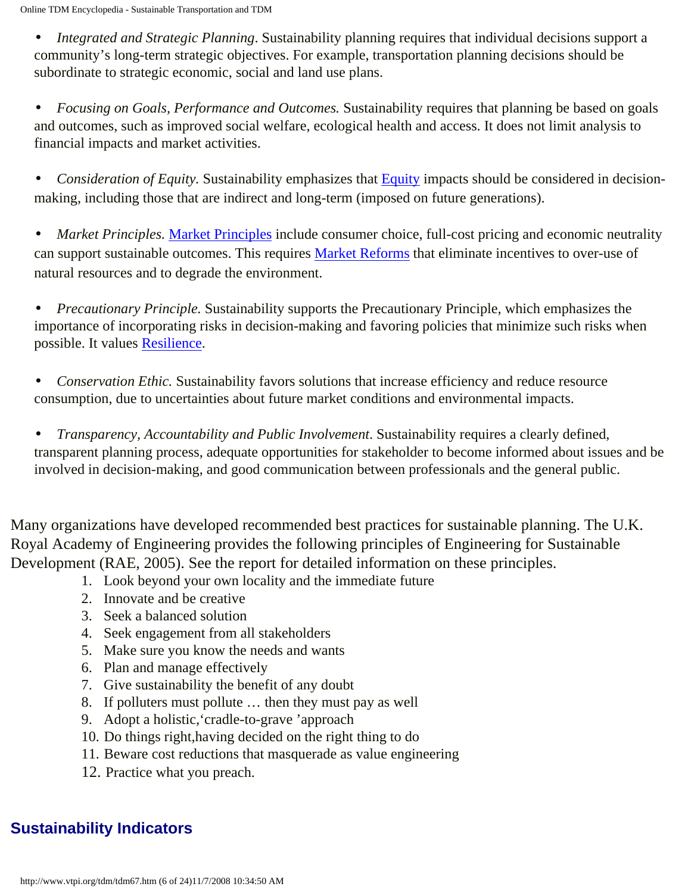• *Integrated and Strategic Planning*. Sustainability planning requires that individual decisions support a community's long-term strategic objectives. For example, transportation planning decisions should be subordinate to strategic economic, social and land use plans.

• *Focusing on Goals, Performance and Outcomes.* Sustainability requires that planning be based on goals and outcomes, such as improved social welfare, ecological health and access. It does not limit analysis to financial impacts and market activities.

• *Consideration of [Equity](http://www.vtpi.org/tdm/tdm13.htm)*. Sustainability emphasizes that **Equity** impacts should be considered in decisionmaking, including those that are indirect and long-term (imposed on future generations).

• *[Market Principles](http://www.vtpi.org/tdm/tdm60.htm).* Market Principles include consumer choice, full-cost pricing and economic neutrality can support sustainable outcomes. This requires [Market Reforms](http://www.vtpi.org/tdm/tdm29.htm) that eliminate incentives to over-use of natural resources and to degrade the environment.

• *Precautionary Principle.* Sustainability supports the Precautionary Principle, which emphasizes the importance of incorporating risks in decision-making and favoring policies that minimize such risks when possible. It values [Resilience.](http://www.vtpi.org/tdm/tdm88.htm)

• *Conservation Ethic.* Sustainability favors solutions that increase efficiency and reduce resource consumption, due to uncertainties about future market conditions and environmental impacts.

• *Transparency, Accountability and Public Involvement*. Sustainability requires a clearly defined, transparent planning process, adequate opportunities for stakeholder to become informed about issues and be involved in decision-making, and good communication between professionals and the general public.

Many organizations have developed recommended best practices for sustainable planning. The U.K. Royal Academy of Engineering provides the following principles of Engineering for Sustainable Development (RAE, 2005). See the report for detailed information on these principles.

- 1. Look beyond your own locality and the immediate future
- 2. Innovate and be creative
- 3. Seek a balanced solution
- 4. Seek engagement from all stakeholders
- 5. Make sure you know the needs and wants
- 6. Plan and manage effectively
- 7. Give sustainability the benefit of any doubt
- 8. If polluters must pollute … then they must pay as well
- 9. Adopt a holistic,'cradle-to-grave 'approach
- 10. Do things right,having decided on the right thing to do
- 11. Beware cost reductions that masquerade as value engineering
- 12. Practice what you preach.

# **Sustainability Indicators**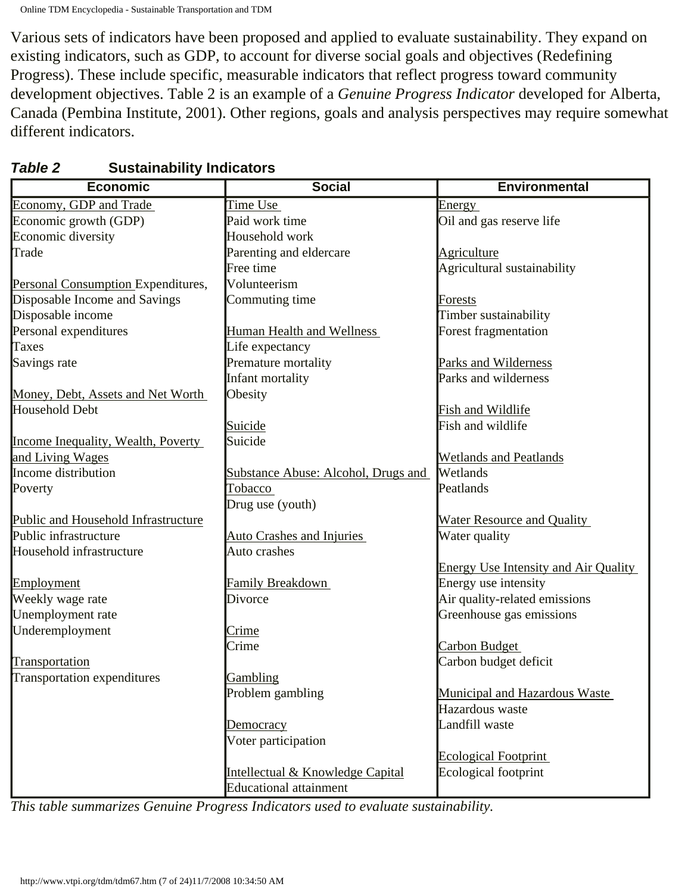Various sets of indicators have been proposed and applied to evaluate sustainability. They expand on existing indicators, such as GDP, to account for diverse social goals and objectives (Redefining Progress). These include specific, measurable indicators that reflect progress toward community development objectives. Table 2 is an example of a *Genuine Progress Indicator* developed for Alberta, Canada (Pembina Institute, 2001). Other regions, goals and analysis perspectives may require somewhat different indicators.

| Time Use<br>Energy<br>Paid work time<br>Oil and gas reserve life<br>Household work<br>Parenting and eldercare<br>Agriculture<br>Free time<br>Agricultural sustainability<br>Volunteerism<br>Personal Consumption Expenditures,<br>Disposable Income and Savings<br>Commuting time<br><b>Forests</b><br>Disposable income<br>Timber sustainability<br>Personal expenditures<br>Forest fragmentation<br>Human Health and Wellness<br>Life expectancy<br>Savings rate<br>Premature mortality<br>Parks and Wilderness<br>Infant mortality<br>Parks and wilderness<br>Obesity<br>Money, Debt, Assets and Net Worth<br>Fish and Wildlife<br>Fish and wildlife<br>Suicide<br>Suicide<br>Income Inequality, Wealth, Poverty<br>and Living Wages<br><b>Wetlands and Peatlands</b><br>Wetlands<br>Substance Abuse: Alcohol, Drugs and<br>Poverty<br>Tobacco<br>Peatlands<br>Drug use (youth)<br>Public and Household Infrastructure<br>Water Resource and Quality<br><b>Auto Crashes and Injuries</b><br>Water quality<br>Household infrastructure<br>Auto crashes<br><b>Energy Use Intensity and Air Quality</b><br>Energy use intensity<br>Employment<br><b>Family Breakdown</b><br>Air quality-related emissions<br>Weekly wage rate<br>Divorce<br>Unemployment rate<br>Greenhouse gas emissions | <b>Economic</b>             | <b>Social</b> | <b>Environmental</b> |
|-------------------------------------------------------------------------------------------------------------------------------------------------------------------------------------------------------------------------------------------------------------------------------------------------------------------------------------------------------------------------------------------------------------------------------------------------------------------------------------------------------------------------------------------------------------------------------------------------------------------------------------------------------------------------------------------------------------------------------------------------------------------------------------------------------------------------------------------------------------------------------------------------------------------------------------------------------------------------------------------------------------------------------------------------------------------------------------------------------------------------------------------------------------------------------------------------------------------------------------------------------------------------------------------|-----------------------------|---------------|----------------------|
|                                                                                                                                                                                                                                                                                                                                                                                                                                                                                                                                                                                                                                                                                                                                                                                                                                                                                                                                                                                                                                                                                                                                                                                                                                                                                           | Economy, GDP and Trade      |               |                      |
|                                                                                                                                                                                                                                                                                                                                                                                                                                                                                                                                                                                                                                                                                                                                                                                                                                                                                                                                                                                                                                                                                                                                                                                                                                                                                           | Economic growth (GDP)       |               |                      |
|                                                                                                                                                                                                                                                                                                                                                                                                                                                                                                                                                                                                                                                                                                                                                                                                                                                                                                                                                                                                                                                                                                                                                                                                                                                                                           | Economic diversity          |               |                      |
|                                                                                                                                                                                                                                                                                                                                                                                                                                                                                                                                                                                                                                                                                                                                                                                                                                                                                                                                                                                                                                                                                                                                                                                                                                                                                           | Trade                       |               |                      |
|                                                                                                                                                                                                                                                                                                                                                                                                                                                                                                                                                                                                                                                                                                                                                                                                                                                                                                                                                                                                                                                                                                                                                                                                                                                                                           |                             |               |                      |
|                                                                                                                                                                                                                                                                                                                                                                                                                                                                                                                                                                                                                                                                                                                                                                                                                                                                                                                                                                                                                                                                                                                                                                                                                                                                                           |                             |               |                      |
|                                                                                                                                                                                                                                                                                                                                                                                                                                                                                                                                                                                                                                                                                                                                                                                                                                                                                                                                                                                                                                                                                                                                                                                                                                                                                           |                             |               |                      |
|                                                                                                                                                                                                                                                                                                                                                                                                                                                                                                                                                                                                                                                                                                                                                                                                                                                                                                                                                                                                                                                                                                                                                                                                                                                                                           |                             |               |                      |
|                                                                                                                                                                                                                                                                                                                                                                                                                                                                                                                                                                                                                                                                                                                                                                                                                                                                                                                                                                                                                                                                                                                                                                                                                                                                                           |                             |               |                      |
|                                                                                                                                                                                                                                                                                                                                                                                                                                                                                                                                                                                                                                                                                                                                                                                                                                                                                                                                                                                                                                                                                                                                                                                                                                                                                           | <b>Taxes</b>                |               |                      |
|                                                                                                                                                                                                                                                                                                                                                                                                                                                                                                                                                                                                                                                                                                                                                                                                                                                                                                                                                                                                                                                                                                                                                                                                                                                                                           |                             |               |                      |
|                                                                                                                                                                                                                                                                                                                                                                                                                                                                                                                                                                                                                                                                                                                                                                                                                                                                                                                                                                                                                                                                                                                                                                                                                                                                                           |                             |               |                      |
|                                                                                                                                                                                                                                                                                                                                                                                                                                                                                                                                                                                                                                                                                                                                                                                                                                                                                                                                                                                                                                                                                                                                                                                                                                                                                           |                             |               |                      |
|                                                                                                                                                                                                                                                                                                                                                                                                                                                                                                                                                                                                                                                                                                                                                                                                                                                                                                                                                                                                                                                                                                                                                                                                                                                                                           | <b>Household Debt</b>       |               |                      |
|                                                                                                                                                                                                                                                                                                                                                                                                                                                                                                                                                                                                                                                                                                                                                                                                                                                                                                                                                                                                                                                                                                                                                                                                                                                                                           |                             |               |                      |
|                                                                                                                                                                                                                                                                                                                                                                                                                                                                                                                                                                                                                                                                                                                                                                                                                                                                                                                                                                                                                                                                                                                                                                                                                                                                                           |                             |               |                      |
|                                                                                                                                                                                                                                                                                                                                                                                                                                                                                                                                                                                                                                                                                                                                                                                                                                                                                                                                                                                                                                                                                                                                                                                                                                                                                           |                             |               |                      |
|                                                                                                                                                                                                                                                                                                                                                                                                                                                                                                                                                                                                                                                                                                                                                                                                                                                                                                                                                                                                                                                                                                                                                                                                                                                                                           | Income distribution         |               |                      |
|                                                                                                                                                                                                                                                                                                                                                                                                                                                                                                                                                                                                                                                                                                                                                                                                                                                                                                                                                                                                                                                                                                                                                                                                                                                                                           |                             |               |                      |
|                                                                                                                                                                                                                                                                                                                                                                                                                                                                                                                                                                                                                                                                                                                                                                                                                                                                                                                                                                                                                                                                                                                                                                                                                                                                                           |                             |               |                      |
|                                                                                                                                                                                                                                                                                                                                                                                                                                                                                                                                                                                                                                                                                                                                                                                                                                                                                                                                                                                                                                                                                                                                                                                                                                                                                           |                             |               |                      |
|                                                                                                                                                                                                                                                                                                                                                                                                                                                                                                                                                                                                                                                                                                                                                                                                                                                                                                                                                                                                                                                                                                                                                                                                                                                                                           | Public infrastructure       |               |                      |
|                                                                                                                                                                                                                                                                                                                                                                                                                                                                                                                                                                                                                                                                                                                                                                                                                                                                                                                                                                                                                                                                                                                                                                                                                                                                                           |                             |               |                      |
|                                                                                                                                                                                                                                                                                                                                                                                                                                                                                                                                                                                                                                                                                                                                                                                                                                                                                                                                                                                                                                                                                                                                                                                                                                                                                           |                             |               |                      |
|                                                                                                                                                                                                                                                                                                                                                                                                                                                                                                                                                                                                                                                                                                                                                                                                                                                                                                                                                                                                                                                                                                                                                                                                                                                                                           |                             |               |                      |
|                                                                                                                                                                                                                                                                                                                                                                                                                                                                                                                                                                                                                                                                                                                                                                                                                                                                                                                                                                                                                                                                                                                                                                                                                                                                                           |                             |               |                      |
|                                                                                                                                                                                                                                                                                                                                                                                                                                                                                                                                                                                                                                                                                                                                                                                                                                                                                                                                                                                                                                                                                                                                                                                                                                                                                           |                             |               |                      |
|                                                                                                                                                                                                                                                                                                                                                                                                                                                                                                                                                                                                                                                                                                                                                                                                                                                                                                                                                                                                                                                                                                                                                                                                                                                                                           | Underemployment             | Crime         |                      |
| Crime<br>Carbon Budget                                                                                                                                                                                                                                                                                                                                                                                                                                                                                                                                                                                                                                                                                                                                                                                                                                                                                                                                                                                                                                                                                                                                                                                                                                                                    |                             |               |                      |
| Carbon budget deficit                                                                                                                                                                                                                                                                                                                                                                                                                                                                                                                                                                                                                                                                                                                                                                                                                                                                                                                                                                                                                                                                                                                                                                                                                                                                     | Transportation              |               |                      |
| Gambling                                                                                                                                                                                                                                                                                                                                                                                                                                                                                                                                                                                                                                                                                                                                                                                                                                                                                                                                                                                                                                                                                                                                                                                                                                                                                  | Transportation expenditures |               |                      |
| Problem gambling<br>Municipal and Hazardous Waste                                                                                                                                                                                                                                                                                                                                                                                                                                                                                                                                                                                                                                                                                                                                                                                                                                                                                                                                                                                                                                                                                                                                                                                                                                         |                             |               |                      |
| Hazardous waste                                                                                                                                                                                                                                                                                                                                                                                                                                                                                                                                                                                                                                                                                                                                                                                                                                                                                                                                                                                                                                                                                                                                                                                                                                                                           |                             |               |                      |
| Landfill waste<br>Democracy                                                                                                                                                                                                                                                                                                                                                                                                                                                                                                                                                                                                                                                                                                                                                                                                                                                                                                                                                                                                                                                                                                                                                                                                                                                               |                             |               |                      |
| Voter participation                                                                                                                                                                                                                                                                                                                                                                                                                                                                                                                                                                                                                                                                                                                                                                                                                                                                                                                                                                                                                                                                                                                                                                                                                                                                       |                             |               |                      |
| <b>Ecological Footprint</b>                                                                                                                                                                                                                                                                                                                                                                                                                                                                                                                                                                                                                                                                                                                                                                                                                                                                                                                                                                                                                                                                                                                                                                                                                                                               |                             |               |                      |
| Ecological footprint<br>Intellectual & Knowledge Capital                                                                                                                                                                                                                                                                                                                                                                                                                                                                                                                                                                                                                                                                                                                                                                                                                                                                                                                                                                                                                                                                                                                                                                                                                                  |                             |               |                      |
| <b>Educational attainment</b>                                                                                                                                                                                                                                                                                                                                                                                                                                                                                                                                                                                                                                                                                                                                                                                                                                                                                                                                                                                                                                                                                                                                                                                                                                                             |                             |               |                      |

## *Table 2* **Sustainability Indicators**

*This table summarizes Genuine Progress Indicators used to evaluate sustainability.*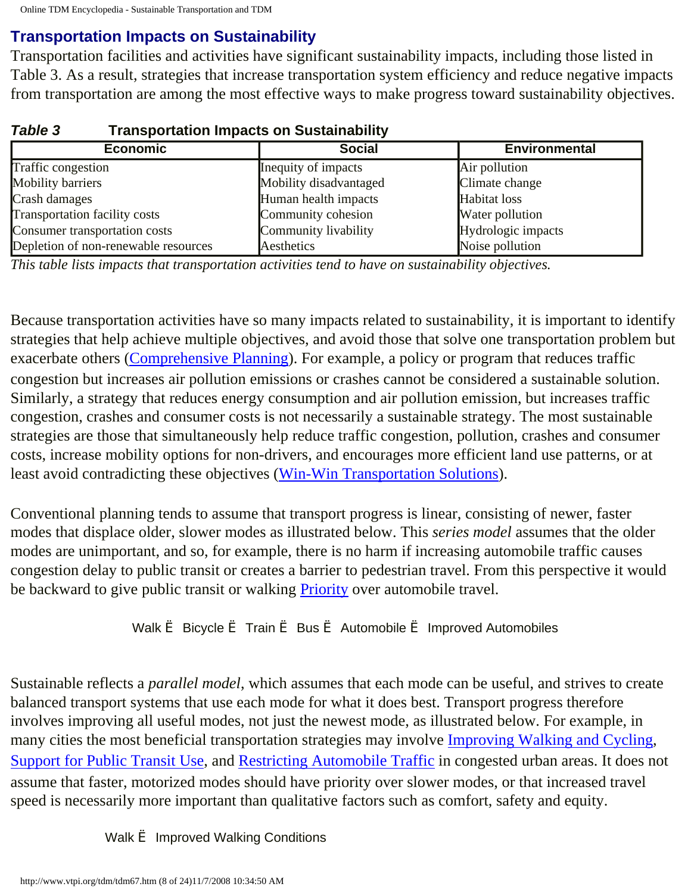# **Transportation Impacts on Sustainability**

Transportation facilities and activities have significant sustainability impacts, including those listed in Table 3. As a result, strategies that increase transportation system efficiency and reduce negative impacts from transportation are among the most effective ways to make progress toward sustainability objectives.

| <b>Economic</b>                      | <b>Social</b>          | <b>Environmental</b> |  |
|--------------------------------------|------------------------|----------------------|--|
| Traffic congestion                   | Inequity of impacts    | Air pollution        |  |
| Mobility barriers                    | Mobility disadvantaged | Climate change       |  |
| Crash damages                        | Human health impacts   | Habitat loss         |  |
| <b>Transportation facility costs</b> | Community cohesion     | Water pollution      |  |
| Consumer transportation costs        | Community livability   | Hydrologic impacts   |  |
| Depletion of non-renewable resources | Aesthetics             | Noise pollution      |  |

## *Table 3* **Transportation Impacts on Sustainability**

*This table lists impacts that transportation activities tend to have on sustainability objectives.*

Because transportation activities have so many impacts related to sustainability, it is important to identify strategies that help achieve multiple objectives, and avoid those that solve one transportation problem but exacerbate others ([Comprehensive Planning\)](http://www.vtpi.org/tdm/tdm76.htm). For example, a policy or program that reduces traffic congestion but increases air pollution emissions or crashes cannot be considered a sustainable solution. Similarly, a strategy that reduces energy consumption and air pollution emission, but increases traffic congestion, crashes and consumer costs is not necessarily a sustainable strategy. The most sustainable strategies are those that simultaneously help reduce traffic congestion, pollution, crashes and consumer costs, increase mobility options for non-drivers, and encourages more efficient land use patterns, or at least avoid contradicting these objectives [\(Win-Win Transportation Solutions\)](http://www.vtpi.org/tdm/tdm52.htm).

Conventional planning tends to assume that transport progress is linear, consisting of newer, faster modes that displace older, slower modes as illustrated below. This *series model* assumes that the older modes are unimportant, and so, for example, there is no harm if increasing automobile traffic causes congestion delay to public transit or creates a barrier to pedestrian travel. From this perspective it would be backward to give public transit or walking **Priority** over automobile travel.

#### Walk è Bicycle è Train è Bus è Automobile è Improved Automobiles

Sustainable reflects a *parallel model*, which assumes that each mode can be useful, and strives to create balanced transport systems that use each mode for what it does best. Transport progress therefore involves improving all useful modes, not just the newest mode, as illustrated below. For example, in many cities the most beneficial transportation strategies may involve [Improving Walking and Cycling,](http://www.vtpi.org/tdm/tdm25.htm) [Support for Public Transit Use,](http://www.vtpi.org/tdm/tdm47.htm) and [Restricting Automobile Traffic](http://www.vtpi.org/tdm/tdm33.htm) in congested urban areas. It does not assume that faster, motorized modes should have priority over slower modes, or that increased travel speed is necessarily more important than qualitative factors such as comfort, safety and equity.

Walk  $\triangleq$  Improved Walking Conditions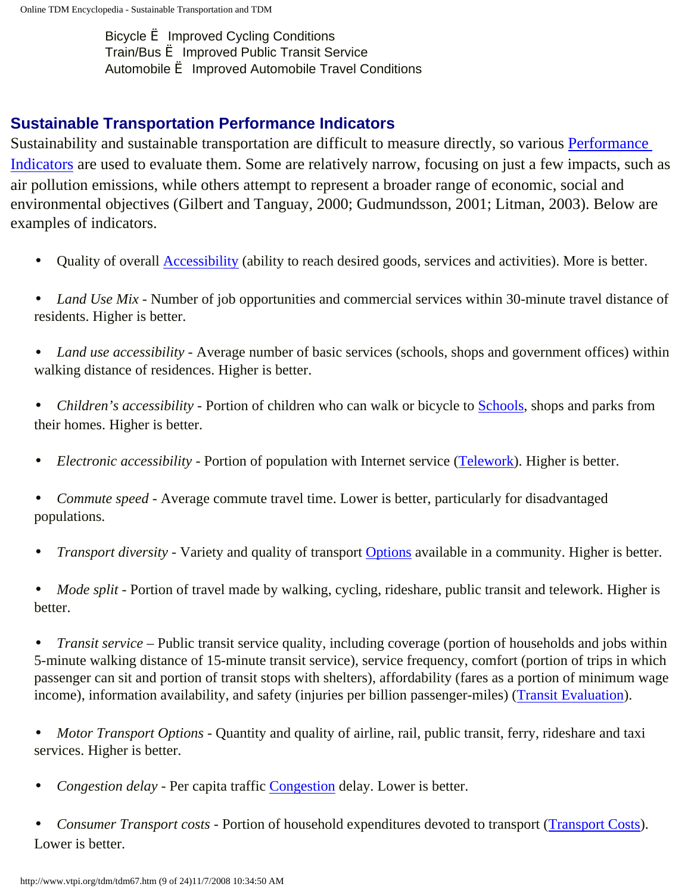Bicycle è Improved Cycling Conditions Train/Bus è Improved Public Transit Service Automobile è Improved Automobile Travel Conditions

## **Sustainable Transportation Performance Indicators**

Sustainability and sustainable transportation are difficult to measure directly, so various [Performance](http://www.vtpi.org/tdm/tdm14.htm)  [Indicators](http://www.vtpi.org/tdm/tdm14.htm) are used to evaluate them. Some are relatively narrow, focusing on just a few impacts, such as air pollution emissions, while others attempt to represent a broader range of economic, social and environmental objectives (Gilbert and Tanguay, 2000; Gudmundsson, 2001; Litman, 2003). Below are examples of indicators.

- Quality of overall [Accessibility](http://www.vtpi.org/tdm/tdm84.htm) (ability to reach desired goods, services and activities). More is better.
- *Land Use Mix* Number of job opportunities and commercial services within 30-minute travel distance of residents. Higher is better.
- *Land use accessibility* Average number of basic services (schools, shops and government offices) within walking distance of residences. Higher is better.

• *Children's accessibility -* Portion of children who can walk or bicycle to [Schools](http://www.vtpi.org/tdm/tdm36.htm), shops and parks from their homes. Higher is better.

- *Electronic accessibility* Portion of population with Internet service [\(Telework](http://www.vtpi.org/tdm/tdm43.htm)). Higher is better.
- *Commute speed* Average commute travel time. Lower is better, particularly for disadvantaged populations.
- *Transport diversity* Variety and quality of transport [Options](http://www.vtpi.org/tdm/tdm65.htm) available in a community. Higher is better.

• *Mode split* - Portion of travel made by walking, cycling, rideshare, public transit and telework. Higher is better.

• *Transit service* – Public transit service quality, including coverage (portion of households and jobs within 5-minute walking distance of 15-minute transit service), service frequency, comfort (portion of trips in which passenger can sit and portion of transit stops with shelters), affordability (fares as a portion of minimum wage income), information availability, and safety (injuries per billion passenger-miles) [\(Transit Evaluation\)](http://www.vtpi.org/tdm/tdm63.htm).

• *Motor Transport Options - Quantity and quality of airline, rail, public transit, ferry, rideshare and taxi* services. Higher is better.

• *Congestion delay -* Per capita traffic [Congestion](http://www.vtpi.org/tdm/tdm96.htm) delay. Lower is better.

• *Consumer Transport costs -* Portion of household expenditures devoted to transport [\(Transport Costs](http://www.vtpi.org/tdm/tdm66.htm)). Lower is better.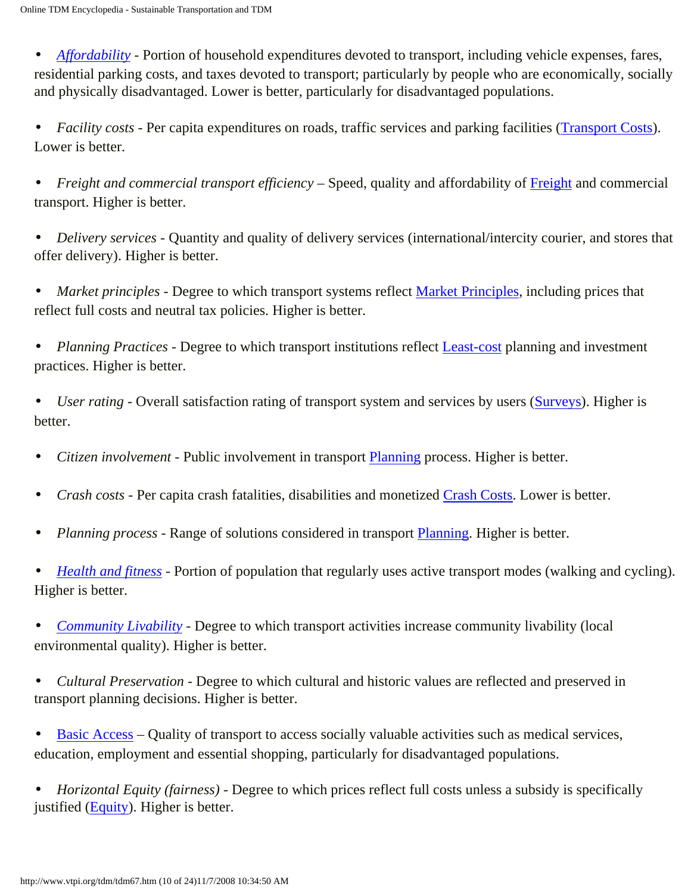• *Affordability* - Portion of household expenditures devoted to transport, including vehicle expenses, fares, residential parking costs, and taxes devoted to transport; particularly by people who are economically, socially and physically disadvantaged. Lower is better, particularly for disadvantaged populations.

• *Facility costs* - Per capita expenditures on roads, traffic services and parking facilities [\(Transport Costs](http://www.vtpi.org/tdm/tdm66.htm)). Lower is better.

• *Freight and commercial transport efficiency* – Speed, quality and affordability of [Freight](http://www.vtpi.org/tdm/tdm16.htm) and commercial transport. Higher is better.

• *Delivery services -* Quantity and quality of delivery services (international/intercity courier, and stores that offer delivery). Higher is better.

• *Market principles* - Degree to which transport systems reflect [Market Principles](http://www.vtpi.org/tdm/tdm60.htm), including prices that reflect full costs and neutral tax policies. Higher is better.

• *Planning Practices -* Degree to which transport institutions reflect [Least-cost](http://www.vtpi.org/tdm/tdm21.htm) planning and investment practices. Higher is better.

• *User rating* - Overall satisfaction rating of transport system and services by users ([Surveys](http://www.vtpi.org/tdm/tdm40.htm)). Higher is better.

- *Citizen involvement* Public involvement in transport [Planning](http://www.vtpi.org/tdm/tdm50.htm) process. Higher is better.
- *Crash costs* Per capita crash fatalities, disabilities and monetized [Crash Costs](http://www.vtpi.org/tdm/tdm58.htm). Lower is better.
- *Planning process* Range of solutions considered in transport [Planning.](http://www.vtpi.org/tdm/tdm50.htm) Higher is better.

• *[Health and fitness](http://www.vtpi.org/tdm/tdm102.htm) -* Portion of population that regularly uses active transport modes (walking and cycling). Higher is better.

• *[Community Livability](http://www.vtpi.org/tdm/tdm97.htm) -* Degree to which transport activities increase community livability (local environmental quality). Higher is better.

• *Cultural Preservation* - Degree to which cultural and historic values are reflected and preserved in transport planning decisions. Higher is better.

• [Basic Access](http://www.vtpi.org/tdm/tdm103.htm) – Quality of transport to access socially valuable activities such as medical services, education, employment and essential shopping, particularly for disadvantaged populations.

• *Horizontal Equity (fairness) -* Degree to which prices reflect full costs unless a subsidy is specifically justified ([Equity\)](http://www.vtpi.org/tdm/tdm13.htm). Higher is better.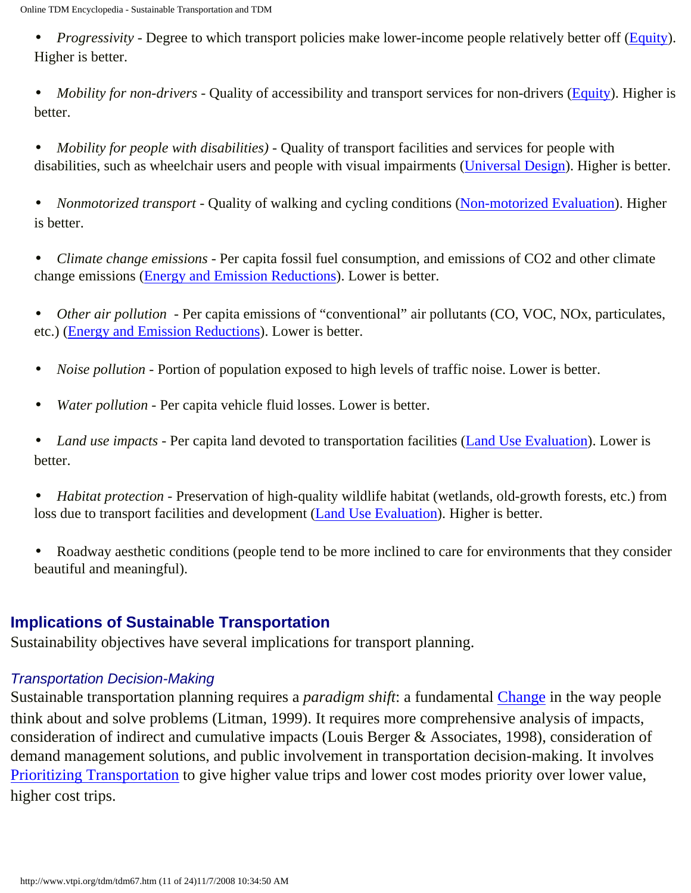• *Progressivity* - Degree to which transport policies make lower-income people relatively better off ([Equity\)](http://www.vtpi.org/tdm/tdm13.htm). Higher is better.

• *Mobility for non-drivers* - Quality of accessibility and transport services for non-drivers (**[Equity](http://www.vtpi.org/tdm/tdm13.htm)**). Higher is better.

• *Mobility for people with disabilities*) - Quality of transport facilities and services for people with disabilities, such as wheelchair users and people with visual impairments ([Universal Design](http://www.vtpi.org/tdm/tdm69.htm)). Higher is better.

• *Nonmotorized transport* - Quality of walking and cycling conditions ([Non-motorized Evaluation\)](http://www.vtpi.org/tdm/tdm63.htm). Higher is better.

• *Climate change emissions* - Per capita fossil fuel consumption, and emissions of CO2 and other climate change emissions ([Energy and Emission Reductions](http://www.vtpi.org/tdm/tdm59.htm)). Lower is better.

• *Other air pollution* - Per capita emissions of "conventional" air pollutants (CO, VOC, NOx, particulates, etc.) [\(Energy and Emission Reductions](http://www.vtpi.org/tdm/tdm59.htm)). Lower is better.

- *Noise pollution* Portion of population exposed to high levels of traffic noise. Lower is better.
- *Water pollution* Per capita vehicle fluid losses. Lower is better.

• *Land use impacts* - Per capita land devoted to transportation facilities ([Land Use Evaluation\)](http://www.vtpi.org/tdm/tdm104.htm). Lower is better.

• *Habitat protection* - Preservation of high-quality wildlife habitat (wetlands, old-growth forests, etc.) from loss due to transport facilities and development ([Land Use Evaluation\)](http://www.vtpi.org/tdm/tdm104.htm). Higher is better.

• Roadway aesthetic conditions (people tend to be more inclined to care for environments that they consider beautiful and meaningful).

## **Implications of Sustainable Transportation**

Sustainability objectives have several implications for transport planning.

## *Transportation Decision-Making*

Sustainable transportation planning requires a *paradigm shift*: a fundamental [Change](http://www.vtpi.org/tdm/tdm114.htm) in the way people think about and solve problems (Litman, 1999). It requires more comprehensive analysis of impacts, consideration of indirect and cumulative impacts (Louis Berger & Associates, 1998), consideration of demand management solutions, and public involvement in transportation decision-making. It involves [Prioritizing Transportation](http://www.vtpi.org/tdm/tdm110.htm) to give higher value trips and lower cost modes priority over lower value, higher cost trips.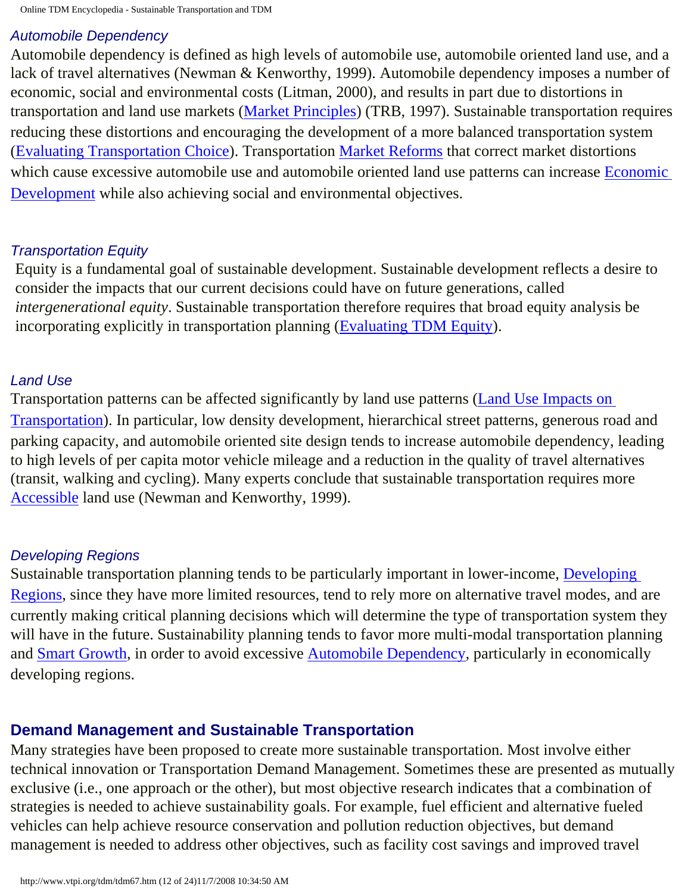## *Automobile Dependency*

Automobile dependency is defined as high levels of automobile use, automobile oriented land use, and a lack of travel alternatives (Newman & Kenworthy, 1999). Automobile dependency imposes a number of economic, social and environmental costs (Litman, 2000), and results in part due to distortions in transportation and land use markets [\(Market Principles\)](http://www.vtpi.org/tdm/tdm60.htm) (TRB, 1997). Sustainable transportation requires reducing these distortions and encouraging the development of a more balanced transportation system ([Evaluating Transportation Choice](http://www.vtpi.org/tdm/tdm65.htm)). Transportation [Market Reforms](http://www.vtpi.org/tdm/tdm29.htm) that correct market distortions which cause excessive automobile use and automobile oriented land use patterns can increase [Economic](http://www.vtpi.org/tdm/tdm54.htm) [Development](http://www.vtpi.org/tdm/tdm54.htm) while also achieving social and environmental objectives.

## *Transportation Equity*

Equity is a fundamental goal of sustainable development. Sustainable development reflects a desire to consider the impacts that our current decisions could have on future generations, called *intergenerational equity*. Sustainable transportation therefore requires that broad equity analysis be incorporating explicitly in transportation planning ([Evaluating TDM Equity\)](http://www.vtpi.org/tdm/tdm13.htm).

## *Land Use*

Transportation patterns can be affected significantly by land use patterns ([Land Use Impacts on](http://www.vtpi.org/tdm/tdm20.htm)  [Transportation\)](http://www.vtpi.org/tdm/tdm20.htm). In particular, low density development, hierarchical street patterns, generous road and parking capacity, and automobile oriented site design tends to increase automobile dependency, leading to high levels of per capita motor vehicle mileage and a reduction in the quality of travel alternatives (transit, walking and cycling). Many experts conclude that sustainable transportation requires more [Accessible](http://www.vtpi.org/tdm/tdm84.htm) land use (Newman and Kenworthy, 1999).

## *Developing Regions*

Sustainable transportation planning tends to be particularly important in lower-income, [Developing](http://www.vtpi.org/tdm/tdm75.htm) [Regions](http://www.vtpi.org/tdm/tdm75.htm), since they have more limited resources, tend to rely more on alternative travel modes, and are currently making critical planning decisions which will determine the type of transportation system they will have in the future. Sustainability planning tends to favor more multi-modal transportation planning and **Smart Growth**, in order to avoid excessive **Automobile Dependency**, particularly in economically developing regions.

## **Demand Management and Sustainable Transportation**

Many strategies have been proposed to create more sustainable transportation. Most involve either technical innovation or Transportation Demand Management. Sometimes these are presented as mutually exclusive (i.e., one approach or the other), but most objective research indicates that a combination of strategies is needed to achieve sustainability goals. For example, fuel efficient and alternative fueled vehicles can help achieve resource conservation and pollution reduction objectives, but demand management is needed to address other objectives, such as facility cost savings and improved travel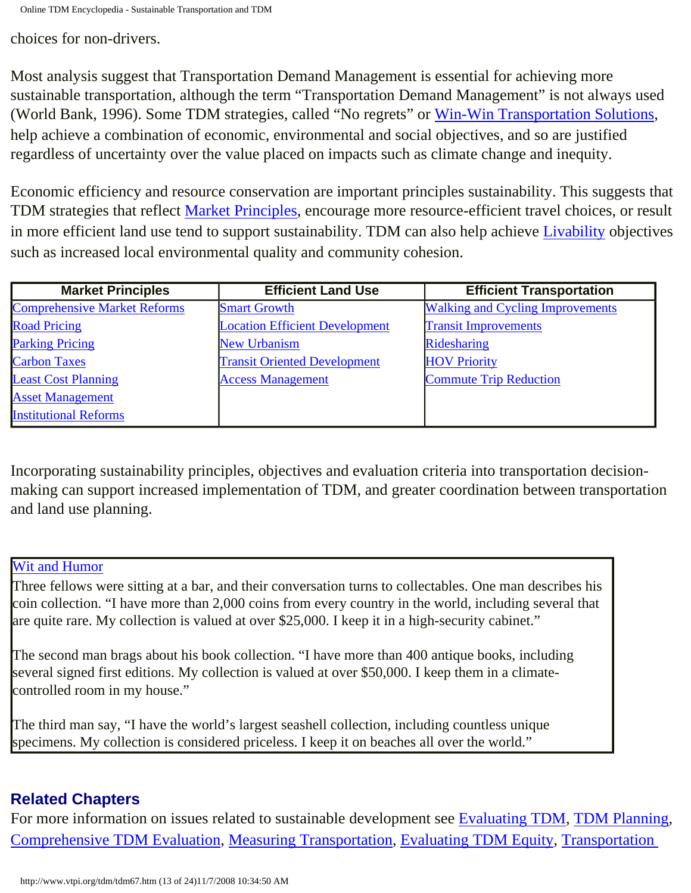choices for non-drivers.

Most analysis suggest that Transportation Demand Management is essential for achieving more sustainable transportation, although the term "Transportation Demand Management" is not always used (World Bank, 1996). Some TDM strategies, called "No regrets" or [Win-Win Transportation Solutions,](http://www.vtpi.org/tdm/tdm52.htm) help achieve a combination of economic, environmental and social objectives, and so are justified regardless of uncertainty over the value placed on impacts such as climate change and inequity.

Economic efficiency and resource conservation are important principles sustainability. This suggests that TDM strategies that reflect [Market Principles](http://www.vtpi.org/tdm/tdm60.htm), encourage more resource-efficient travel choices, or result in more efficient land use tend to support sustainability. TDM can also help achieve [Livability](http://www.vtpi.org/tdm/tdm97.htm) objectives such as increased local environmental quality and community cohesion.

| <b>Market Principles</b>            | <b>Efficient Land Use</b>             | <b>Efficient Transportation</b>         |
|-------------------------------------|---------------------------------------|-----------------------------------------|
| <b>Comprehensive Market Reforms</b> | <b>Smart Growth</b>                   | <b>Walking and Cycling Improvements</b> |
| <b>Road Pricing</b>                 | <b>Location Efficient Development</b> | <b>Transit Improvements</b>             |
| <b>Parking Pricing</b>              | <b>New Urbanism</b>                   | Ridesharing                             |
| <b>Carbon Taxes</b>                 | <b>Transit Oriented Development</b>   | <b>HOV Priority</b>                     |
| <b>Least Cost Planning</b>          | <b>Access Management</b>              | <b>Commute Trip Reduction</b>           |
| <b>Asset Management</b>             |                                       |                                         |
| <b>Institutional Reforms</b>        |                                       |                                         |

Incorporating sustainability principles, objectives and evaluation criteria into transportation decisionmaking can support increased implementation of TDM, and greater coordination between transportation and land use planning.

#### [Wit and Humor](http://www.vtpi.org/tdm/tdm94.htm)

Three fellows were sitting at a bar, and their conversation turns to collectables. One man describes his coin collection. "I have more than 2,000 coins from every country in the world, including several that are quite rare. My collection is valued at over \$25,000. I keep it in a high-security cabinet."

The second man brags about his book collection. "I have more than 400 antique books, including several signed first editions. My collection is valued at over \$50,000. I keep them in a climatecontrolled room in my house."

The third man say, "I have the world's largest seashell collection, including countless unique specimens. My collection is considered priceless. I keep it on beaches all over the world."

## **Related Chapters**

For more information on issues related to sustainable development see [Evaluating TDM,](http://www.vtpi.org/tdm/tdm14.htm) [TDM Planning,](http://www.vtpi.org/tdm/tdm50.htm) [Comprehensive TDM Evaluation,](http://www.vtpi.org/tdm/tdm76.htm) [Measuring Transportation,](http://www.vtpi.org/tdm/tdm55.htm) [Evaluating TDM Equity,](http://www.vtpi.org/tdm/tdm13.htm) [Transportation](http://www.vtpi.org/tdm/tdm106.htm)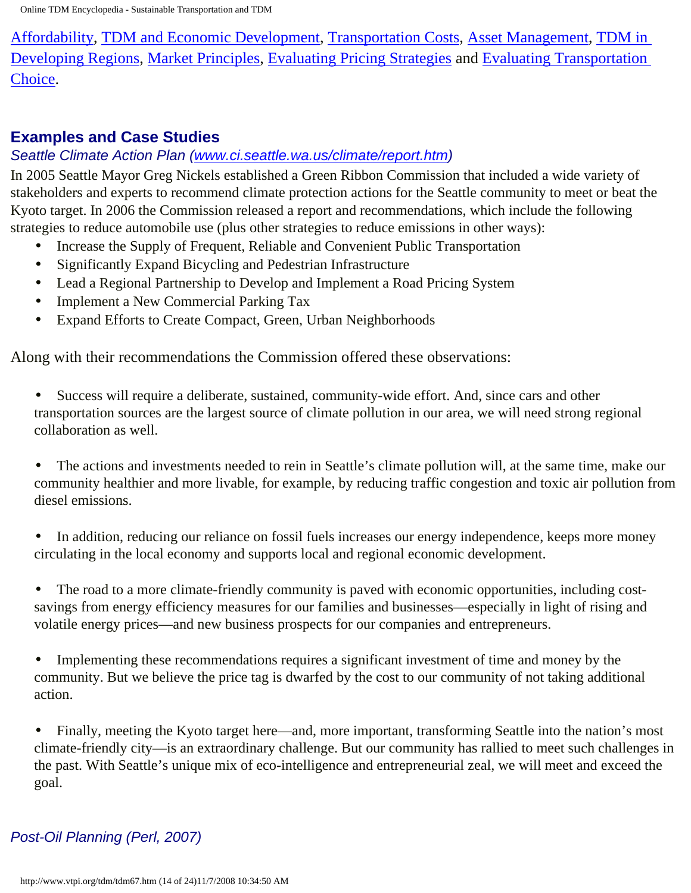[Affordability](http://www.vtpi.org/tdm/tdm106.htm), [TDM and Economic Development,](http://www.vtpi.org/tdm/tdm54.htm) [Transportation Costs](http://www.vtpi.org/tdm/tdm66.htm), [Asset Management,](http://www.vtpi.org/tdm/tdm109.htm) [TDM in](http://www.vtpi.org/tdm/tdm75.htm) [Developing Regions,](http://www.vtpi.org/tdm/tdm75.htm) [Market Principles](http://www.vtpi.org/tdm/tdm60.htm), [Evaluating Pricing Strategies](http://www.vtpi.org/tdm/tdm70.htm) and [Evaluating Transportation](http://www.vtpi.org/tdm/tdm65.htm)  [Choice.](http://www.vtpi.org/tdm/tdm65.htm)

## **Examples and Case Studies**

#### *Seattle Climate Action Plan [\(www.ci.seattle.wa.us/climate/report.htm](http://www.ci.seattle.wa.us/climate/report.htm))*

In 2005 Seattle Mayor Greg Nickels established a Green Ribbon Commission that included a wide variety of stakeholders and experts to recommend climate protection actions for the Seattle community to meet or beat the Kyoto target. In 2006 the Commission released a report and recommendations, which include the following strategies to reduce automobile use (plus other strategies to reduce emissions in other ways):

- Increase the Supply of Frequent, Reliable and Convenient Public Transportation
- Significantly Expand Bicycling and Pedestrian Infrastructure
- Lead a Regional Partnership to Develop and Implement a Road Pricing System
- Implement a New Commercial Parking Tax
- Expand Efforts to Create Compact, Green, Urban Neighborhoods

Along with their recommendations the Commission offered these observations:

• Success will require a deliberate, sustained, community-wide effort. And, since cars and other transportation sources are the largest source of climate pollution in our area, we will need strong regional collaboration as well.

• The actions and investments needed to rein in Seattle's climate pollution will, at the same time, make our community healthier and more livable, for example, by reducing traffic congestion and toxic air pollution from diesel emissions.

• In addition, reducing our reliance on fossil fuels increases our energy independence, keeps more money circulating in the local economy and supports local and regional economic development.

• The road to a more climate-friendly community is paved with economic opportunities, including costsavings from energy efficiency measures for our families and businesses—especially in light of rising and volatile energy prices—and new business prospects for our companies and entrepreneurs.

• Implementing these recommendations requires a significant investment of time and money by the community. But we believe the price tag is dwarfed by the cost to our community of not taking additional action.

• Finally, meeting the Kyoto target here—and, more important, transforming Seattle into the nation's most climate-friendly city—is an extraordinary challenge. But our community has rallied to meet such challenges in the past. With Seattle's unique mix of eco-intelligence and entrepreneurial zeal, we will meet and exceed the goal.

## *Post-Oil Planning (Perl, 2007)*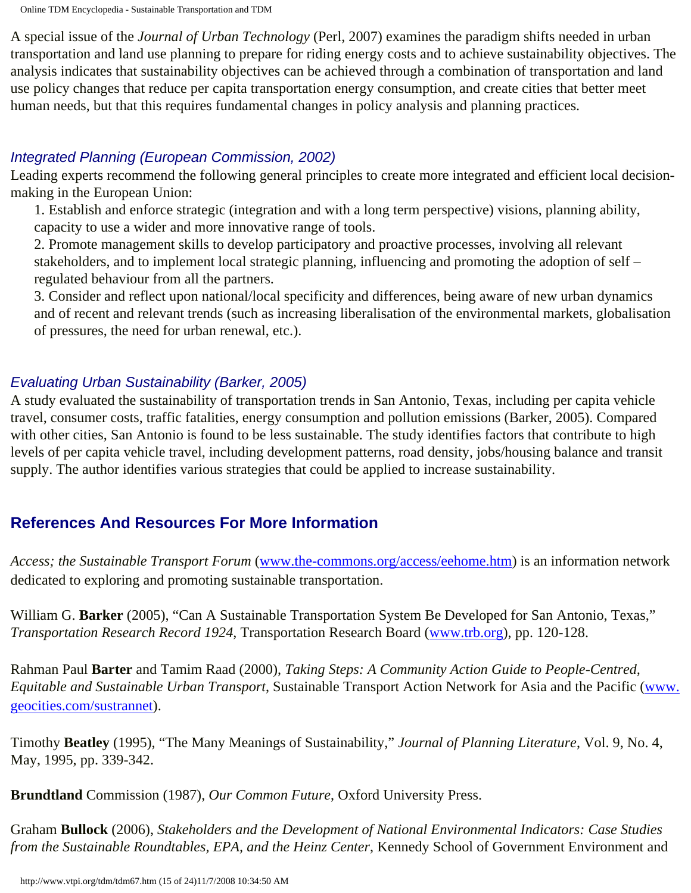Online TDM Encyclopedia - Sustainable Transportation and TDM

A special issue of the *Journal of Urban Technology* (Perl, 2007) examines the paradigm shifts needed in urban transportation and land use planning to prepare for riding energy costs and to achieve sustainability objectives. The analysis indicates that sustainability objectives can be achieved through a combination of transportation and land use policy changes that reduce per capita transportation energy consumption, and create cities that better meet human needs, but that this requires fundamental changes in policy analysis and planning practices.

## *Integrated Planning (European Commission, 2002)*

Leading experts recommend the following general principles to create more integrated and efficient local decisionmaking in the European Union:

1. Establish and enforce strategic (integration and with a long term perspective) visions, planning ability, capacity to use a wider and more innovative range of tools.

2. Promote management skills to develop participatory and proactive processes, involving all relevant stakeholders, and to implement local strategic planning, influencing and promoting the adoption of self – regulated behaviour from all the partners.

3. Consider and reflect upon national/local specificity and differences, being aware of new urban dynamics and of recent and relevant trends (such as increasing liberalisation of the environmental markets, globalisation of pressures, the need for urban renewal, etc.).

## *Evaluating Urban Sustainability (Barker, 2005)*

A study evaluated the sustainability of transportation trends in San Antonio, Texas, including per capita vehicle travel, consumer costs, traffic fatalities, energy consumption and pollution emissions (Barker, 2005). Compared with other cities, San Antonio is found to be less sustainable. The study identifies factors that contribute to high levels of per capita vehicle travel, including development patterns, road density, jobs/housing balance and transit supply. The author identifies various strategies that could be applied to increase sustainability.

# **References And Resources For More Information**

*Access; the Sustainable Transport Forum* [\(www.the-commons.org/access/eehome.htm\)](http://www.the-commons.org/access/eehome.htm) is an information network dedicated to exploring and promoting sustainable transportation.

William G. **Barker** (2005), "Can A Sustainable Transportation System Be Developed for San Antonio, Texas," *Transportation Research Record 1924*, Transportation Research Board ([www.trb.org\)](http://www.trb.org/), pp. 120-128.

Rahman Paul **Barter** and Tamim Raad (2000), *Taking Steps: A Community Action Guide to People-Centred, Equitable and Sustainable Urban Transport*, Sustainable Transport Action Network for Asia and the Pacific ([www.](http://www.geocities.com/sustrannet) [geocities.com/sustrannet\)](http://www.geocities.com/sustrannet).

Timothy **Beatley** (1995), "The Many Meanings of Sustainability," *Journal of Planning Literature*, Vol. 9, No. 4, May, 1995, pp. 339-342.

**Brundtland** Commission (1987), *Our Common Future*, Oxford University Press.

Graham **Bullock** (2006), *Stakeholders and the Development of National Environmental Indicators: Case Studies from the Sustainable Roundtables, EPA, and the Heinz Center*, Kennedy School of Government Environment and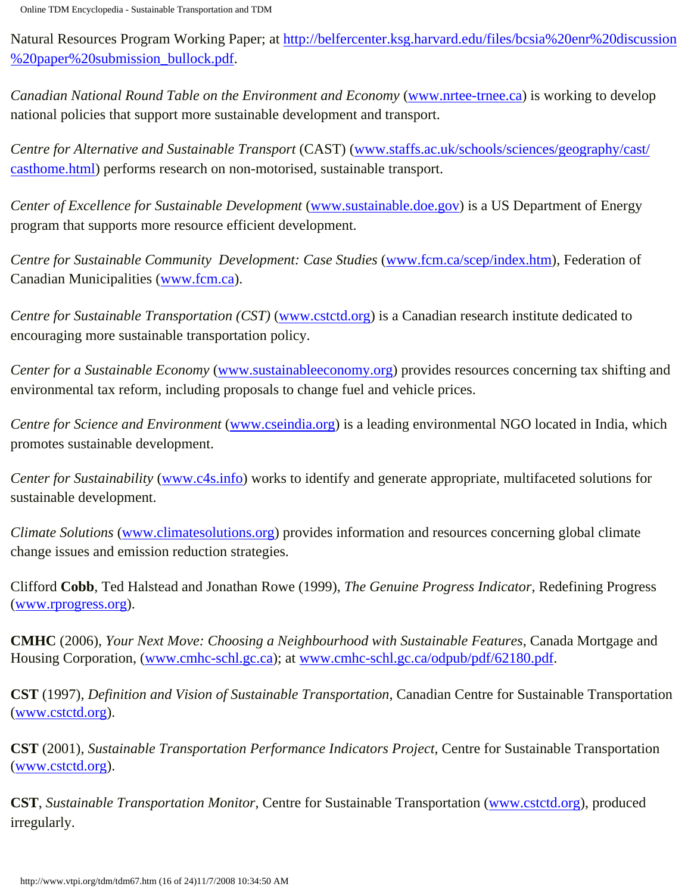Natural Resources Program Working Paper; at [http://belfercenter.ksg.harvard.edu/files/bcsia%20enr%20discussion](http://belfercenter.ksg.harvard.edu/files/bcsia%20enr%20discussion%20paper%20submission_bullock.pdf) [%20paper%20submission\\_bullock.pdf](http://belfercenter.ksg.harvard.edu/files/bcsia%20enr%20discussion%20paper%20submission_bullock.pdf).

*Canadian National Round Table on the Environment and Economy* ([www.nrtee-trnee.ca\)](http://www.nrtee-trnee.ca/) is working to develop national policies that support more sustainable development and transport.

*Centre for Alternative and Sustainable Transport* (CAST) [\(www.staffs.ac.uk/schools/sciences/geography/cast/](http://www.staffs.ac.uk/schools/sciences/geography/cast/casthome.html) [casthome.html](http://www.staffs.ac.uk/schools/sciences/geography/cast/casthome.html)) performs research on non-motorised, sustainable transport.

*Center of Excellence for Sustainable Development* [\(www.sustainable.doe.gov](http://www.sustainable.doe.gov/)) is a US Department of Energy program that supports more resource efficient development.

*Centre for Sustainable Community Development: Case Studies* [\(www.fcm.ca/scep/index.htm](http://www.fcm.ca/scep/index.htm)), Federation of Canadian Municipalities [\(www.fcm.ca\)](http://www.fcm.ca/).

*Centre for Sustainable Transportation (CST)* [\(www.cstctd.org](http://www.cstctd.org/)) is a Canadian research institute dedicated to encouraging more sustainable transportation policy.

*Center for a Sustainable Economy* [\(www.sustainableeconomy.org](http://www.sustainableeconomy.org/)) provides resources concerning tax shifting and environmental tax reform, including proposals to change fuel and vehicle prices.

*Centre for Science and Environment* ([www.cseindia.org\)](http://www.cseindia.org/) is a leading environmental NGO located in India, which promotes sustainable development.

*Center for Sustainability* [\(www.c4s.info](http://www.c4s.info/)) works to identify and generate appropriate, multifaceted solutions for sustainable development.

*Climate Solutions* [\(www.climatesolutions.org](http://www.climatesolutions.org/)) provides information and resources concerning global climate change issues and emission reduction strategies.

Clifford **Cobb**, Ted Halstead and Jonathan Rowe (1999), *The Genuine Progress Indicator*, Redefining Progress ([www.rprogress.org](http://www.rprogress.org/)).

**CMHC** (2006), *Your Next Move: Choosing a Neighbourhood with Sustainable Features*, Canada Mortgage and Housing Corporation, [\(www.cmhc-schl.gc.ca\)](http://www.cmhc-schl.gc.ca/); at [www.cmhc-schl.gc.ca/odpub/pdf/62180.pdf.](http://www.cmhc-schl.gc.ca/odpub/pdf/62180.pdf)

**CST** (1997), *Definition and Vision of Sustainable Transportation*, Canadian Centre for Sustainable Transportation ([www.cstctd.org\)](http://www.cstctd.org/).

**CST** (2001), *Sustainable Transportation Performance Indicators Project*, Centre for Sustainable Transportation ([www.cstctd.org\)](http://www.cstctd.org/).

**CST**, *Sustainable Transportation Monitor*, Centre for Sustainable Transportation [\(www.cstctd.org](http://www.cstctd.org/)), produced irregularly.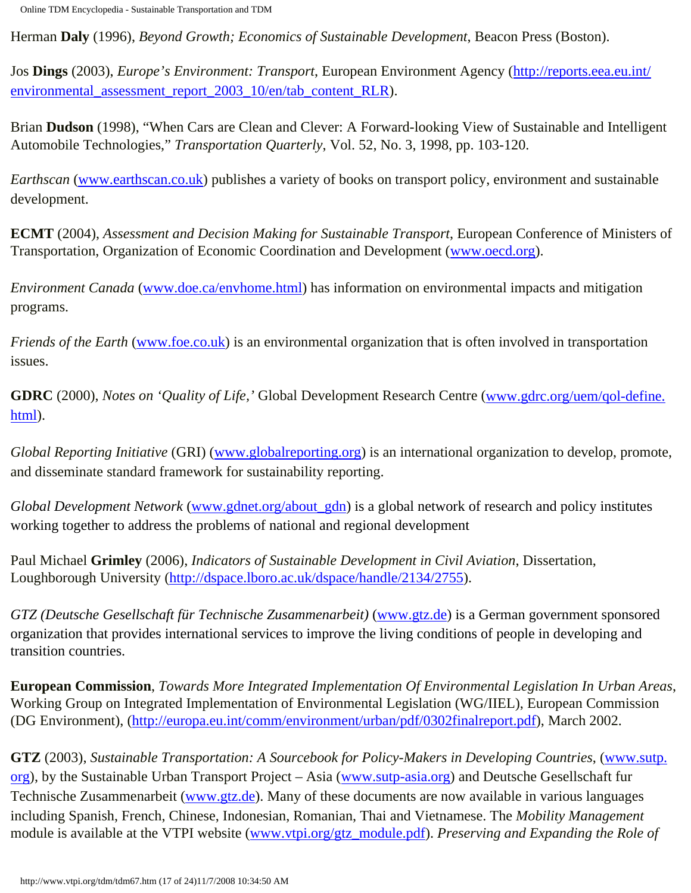Herman **Daly** (1996), *Beyond Growth; Economics of Sustainable Development*, Beacon Press (Boston).

Jos **Dings** (2003), *Europe's Environment: Transport*, European Environment Agency ([http://reports.eea.eu.int/](http://reports.eea.eu.int/environmental_assessment_report_2003_10/en/tab_content_RLR) environmental assessment report 2003 10/en/tab content RLR).

Brian **Dudson** (1998), "When Cars are Clean and Clever: A Forward-looking View of Sustainable and Intelligent Automobile Technologies," *Transportation Quarterly*, Vol. 52, No. 3, 1998, pp. 103-120.

*Earthscan* [\(www.earthscan.co.uk\)](http://www.earthscan.co.uk/) publishes a variety of books on transport policy, environment and sustainable development.

**ECMT** (2004), *Assessment and Decision Making for Sustainable Transport*, European Conference of Ministers of Transportation, Organization of Economic Coordination and Development [\(www.oecd.org](http://www.oecd.org/)).

*Environment Canada* ([www.doe.ca/envhome.html\)](http://www.doe.ca/envhome.html) has information on environmental impacts and mitigation programs.

*Friends of the Earth* ([www.foe.co.uk\)](http://www.foe.co.uk/) is an environmental organization that is often involved in transportation issues.

**GDRC** (2000), *Notes on 'Quality of Life,'* Global Development Research Centre ([www.gdrc.org/uem/qol-define.](http://www.gdrc.org/uem/qol-define.html) [html\)](http://www.gdrc.org/uem/qol-define.html).

*Global Reporting Initiative* (GRI) ([www.globalreporting.org](http://www.globalreporting.org/)) is an international organization to develop, promote, and disseminate standard framework for sustainability reporting.

*Global Development Network* ([www.gdnet.org/about\\_gdn\)](http://www.gdnet.org/about_gdn) is a global network of research and policy institutes working together to address the problems of national and regional development

Paul Michael **Grimley** (2006), *Indicators of Sustainable Development in Civil Aviation*, Dissertation, Loughborough University [\(http://dspace.lboro.ac.uk/dspace/handle/2134/2755\)](http://dspace.lboro.ac.uk/dspace/handle/2134/2755).

*GTZ (Deutsche Gesellschaft für Technische Zusammenarbeit)* [\(www.gtz.de](http://www.gtz.de/)) is a German government sponsored organization that provides international services to improve the living conditions of people in developing and transition countries.

**European Commission**, *Towards More Integrated Implementation Of Environmental Legislation In Urban Areas*, Working Group on Integrated Implementation of Environmental Legislation (WG/IIEL), European Commission (DG Environment), [\(http://europa.eu.int/comm/environment/urban/pdf/0302finalreport.pdf](http://europa.eu.int/comm/environment/urban/pdf/0302finalreport.pdf)), March 2002.

**GTZ** (2003), *Sustainable Transportation: A Sourcebook for Policy-Makers in Developing Countries*, [\(www.sutp.](http://www.sutp.org/) [org](http://www.sutp.org/)), by the Sustainable Urban Transport Project – Asia [\(www.sutp-asia.org](http://www.sutp-asia.org/)) and Deutsche Gesellschaft fur Technische Zusammenarbeit [\(www.gtz.de](http://www.gtz.de/)). Many of these documents are now available in various languages including Spanish, French, Chinese, Indonesian, Romanian, Thai and Vietnamese. The *Mobility Management* module is available at the VTPI website ([www.vtpi.org/gtz\\_module.pdf](http://www.vtpi.org/gtz_module.pdf)). *Preserving and Expanding the Role of*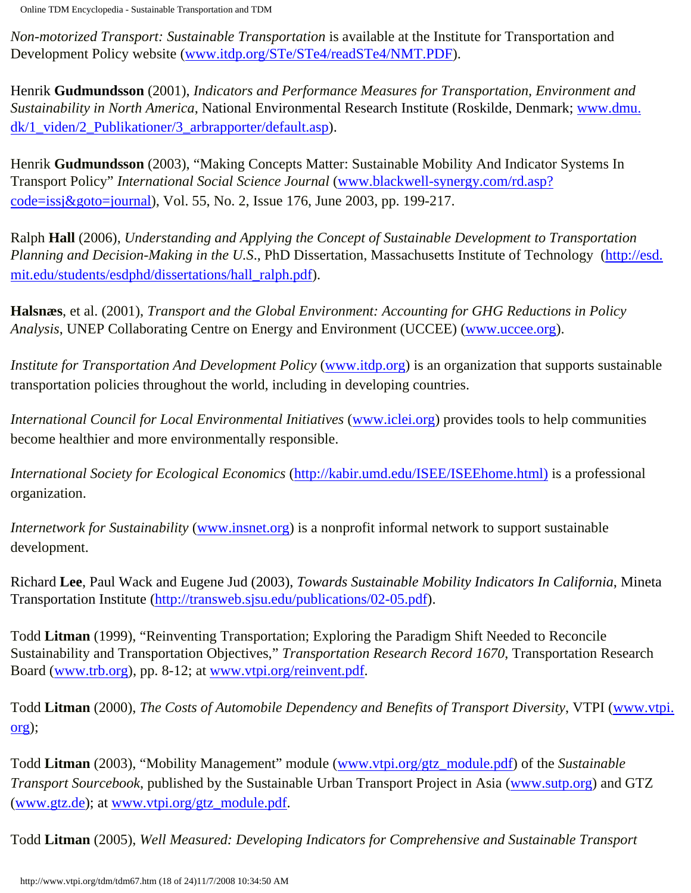*Non-motorized Transport: Sustainable Transportation* is available at the Institute for Transportation and Development Policy website [\(www.itdp.org/STe/STe4/readSTe4/NMT.PDF](http://www.itdp.org/STe/STe4/readSTe4/NMT.PDF)).

Henrik **Gudmundsson** (2001), *Indicators and Performance Measures for Transportation, Environment and Sustainability in North America*, National Environmental Research Institute (Roskilde, Denmark; [www.dmu.](http://www.dmu.dk/1_viden/2_Publikationer/3_arbrapporter/default.asp) [dk/1\\_viden/2\\_Publikationer/3\\_arbrapporter/default.asp](http://www.dmu.dk/1_viden/2_Publikationer/3_arbrapporter/default.asp)).

Henrik **Gudmundsson** (2003), "Making Concepts Matter: Sustainable Mobility And Indicator Systems In Transport Policy" *International Social Science Journal* [\(www.blackwell-synergy.com/rd.asp?](http://www.blackwell-synergy.com/rd.asp?code=issj&goto=journal) [code=issj&goto=journal](http://www.blackwell-synergy.com/rd.asp?code=issj&goto=journal)), Vol. 55, No. 2, Issue 176, June 2003, pp. 199-217.

Ralph **Hall** (2006), *Understanding and Applying the Concept of Sustainable Development to Transportation Planning and Decision-Making in the U.S*., PhD Dissertation, Massachusetts Institute of Technology ([http://esd.](http://esd.mit.edu/students/esdphd/dissertations/hall_ralph.pdf) [mit.edu/students/esdphd/dissertations/hall\\_ralph.pdf\)](http://esd.mit.edu/students/esdphd/dissertations/hall_ralph.pdf).

**Halsnæs**, et al. (2001), *Transport and the Global Environment: Accounting for GHG Reductions in Policy Analysis*, UNEP Collaborating Centre on Energy and Environment (UCCEE) ([www.uccee.org\)](http://www.uccee.org/).

*Institute for Transportation And Development Policy* [\(www.itdp.org](http://www.itdp.org/)) is an organization that supports sustainable transportation policies throughout the world, including in developing countries.

*International Council for Local Environmental Initiatives* [\(www.iclei.org\)](http://www.iclei.org/) provides tools to help communities become healthier and more environmentally responsible.

*International Society for Ecological Economics* ([http://kabir.umd.edu/ISEE/ISEEhome.html\)](http://kabir.umd.edu/ISEE/ISEEhome.html)) is a professional organization.

*Internetwork for Sustainability* ([www.insnet.org](http://www.insnet.org/)) is a nonprofit informal network to support sustainable development.

Richard **Lee**, Paul Wack and Eugene Jud (2003), *Towards Sustainable Mobility Indicators In California*, Mineta Transportation Institute [\(http://transweb.sjsu.edu/publications/02-05.pdf\)](http://transweb.sjsu.edu/publications/02-05.pdf).

Todd **Litman** (1999), "Reinventing Transportation; Exploring the Paradigm Shift Needed to Reconcile Sustainability and Transportation Objectives," *Transportation Research Record 1670*, Transportation Research Board [\(www.trb.org](http://www.trb.org/)), pp. 8-12; at [www.vtpi.org/reinvent.pdf.](http://www.vtpi.org/reinvent.pdf)

Todd **Litman** (2000), *The Costs of Automobile Dependency and Benefits of Transport Diversity*, VTPI [\(www.vtpi.](http://www.vtpi.org/) [org](http://www.vtpi.org/));

Todd **Litman** (2003), "Mobility Management" module [\(www.vtpi.org/gtz\\_module.pdf\)](http://www.vtpi.org/gtz_module.pdf) of the *Sustainable Transport Sourcebook*, published by the Sustainable Urban Transport Project in Asia [\(www.sutp.org\)](http://www.sutp.org/) and GTZ ([www.gtz.de](http://www.gtz.de/)); at [www.vtpi.org/gtz\\_module.pdf](http://www.vtpi.org/gtz_module.pdf).

Todd **Litman** (2005), *Well Measured: Developing Indicators for Comprehensive and Sustainable Transport*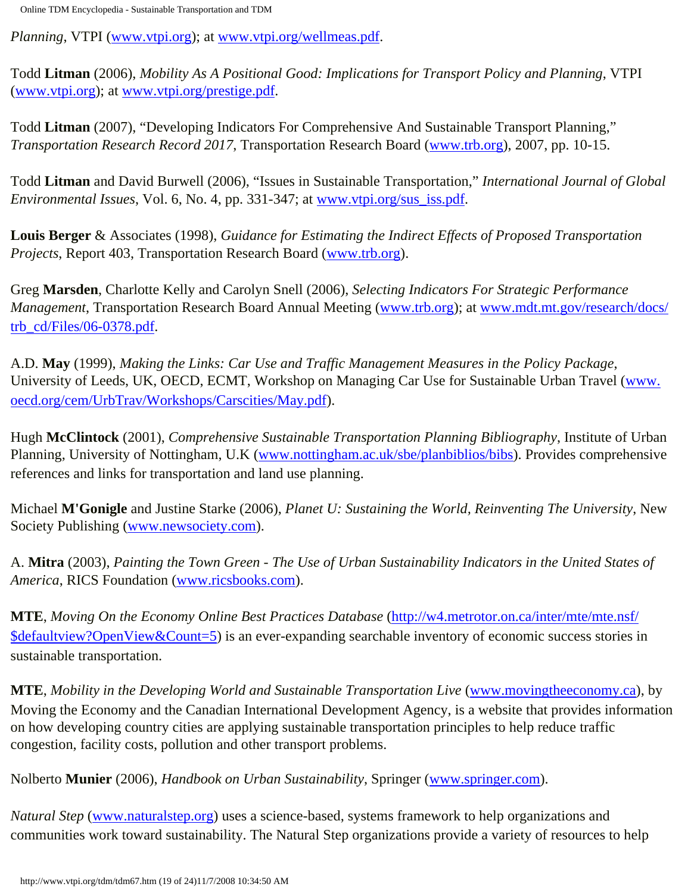*Planning*, VTPI ([www.vtpi.org\)](http://www.vtpi.org/); at [www.vtpi.org/wellmeas.pdf](http://www.vtpi.org/wellmeas.pdf).

Todd **Litman** (2006), *Mobility As A Positional Good: Implications for Transport Policy and Planning*, VTPI ([www.vtpi.org\)](http://www.vtpi.org/); at [www.vtpi.org/prestige.pdf.](http://www.vtpi.org/prestige.pdf)

Todd **Litman** (2007), "Developing Indicators For Comprehensive And Sustainable Transport Planning," *Transportation Research Record 2017*, Transportation Research Board ([www.trb.org\)](http://www.trb.org/), 2007, pp. 10-15.

Todd **Litman** and David Burwell (2006), "Issues in Sustainable Transportation," *International Journal of Global Environmental Issues*, Vol. 6, No. 4, pp. 331-347; at [www.vtpi.org/sus\\_iss.pdf.](http://www.vtpi.org/sus_iss.pdf)

**Louis Berger** & Associates (1998), *Guidance for Estimating the Indirect Effects of Proposed Transportation Projects*, Report 403, Transportation Research Board ([www.trb.org\)](http://www.trb.org/).

Greg **Marsden**, Charlotte Kelly and Carolyn Snell (2006), *Selecting Indicators For Strategic Performance Management*, Transportation Research Board Annual Meeting ([www.trb.org](http://www.trb.org/)); at [www.mdt.mt.gov/research/docs/](http://www.mdt.mt.gov/research/docs/trb_cd/Files/06-0378.pdf) [trb\\_cd/Files/06-0378.pdf.](http://www.mdt.mt.gov/research/docs/trb_cd/Files/06-0378.pdf)

A.D. **May** (1999), *Making the Links: Car Use and Traffic Management Measures in the Policy Package*, University of Leeds, UK, OECD, ECMT, Workshop on Managing Car Use for Sustainable Urban Travel [\(www.](http://www.oecd.org/cem/UrbTrav/Workshops/Carscities/May.pdf) [oecd.org/cem/UrbTrav/Workshops/Carscities/May.pdf\)](http://www.oecd.org/cem/UrbTrav/Workshops/Carscities/May.pdf).

Hugh **McClintock** (2001), *Comprehensive Sustainable Transportation Planning Bibliography*, Institute of Urban Planning, University of Nottingham, U.K [\(www.nottingham.ac.uk/sbe/planbiblios/bibs\)](http://www.nottingham.ac.uk/sbe/planbiblios/bibs). Provides comprehensive references and links for transportation and land use planning.

Michael **M'Gonigle** and Justine Starke (2006), *Planet U: Sustaining the World, Reinventing The University*, New Society Publishing [\(www.newsociety.com\)](http://www.newsociety.com/).

A. **Mitra** (2003), *Painting the Town Green - The Use of Urban Sustainability Indicators in the United States of America*, RICS Foundation ([www.ricsbooks.com\)](http://www.ricsbooks.com/).

**MTE**, *Moving On the Economy Online Best Practices Database* [\(http://w4.metrotor.on.ca/inter/mte/mte.nsf/](http://w4.metrotor.on.ca/inter/mte/mte.nsf/$defaultview?OpenView&Count=5) [\\$defaultview?OpenView&Count=5](http://w4.metrotor.on.ca/inter/mte/mte.nsf/$defaultview?OpenView&Count=5)) is an ever-expanding searchable inventory of economic success stories in sustainable transportation.

**MTE**, *Mobility in the Developing World and Sustainable Transportation Live* ([www.movingtheeconomy.ca\)](http://www.movingtheeconomy.ca/), by Moving the Economy and the Canadian International Development Agency, is a website that provides information on how developing country cities are applying sustainable transportation principles to help reduce traffic congestion, facility costs, pollution and other transport problems.

Nolberto **Munier** (2006), *Handbook on Urban Sustainability*, Springer ([www.springer.com\)](http://www.springer.com/).

*Natural Step* ([www.naturalstep.org](http://www.naturalstep.org/)) uses a science-based, systems framework to help organizations and communities work toward sustainability. The Natural Step organizations provide a variety of resources to help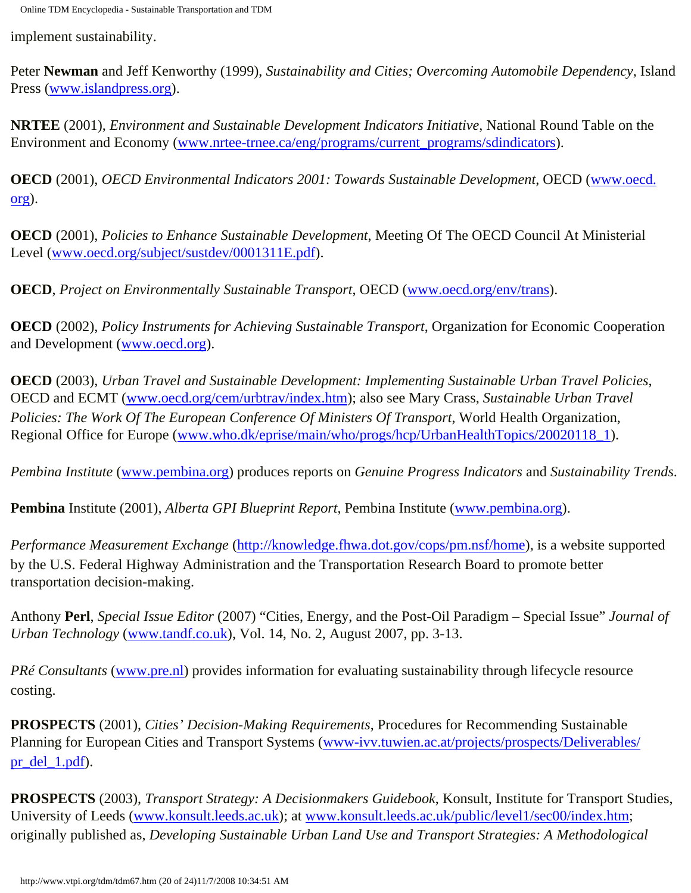implement sustainability.

Peter **Newman** and Jeff Kenworthy (1999), *Sustainability and Cities; Overcoming Automobile Dependency*, Island Press ([www.islandpress.org\)](http://www.islandpress.org)/).

**NRTEE** (2001), *Environment and Sustainable Development Indicators Initiative*, National Round Table on the Environment and Economy ([www.nrtee-trnee.ca/eng/programs/current\\_programs/sdindicators\)](http://www.nrtee-trnee.ca/eng/programs/current_programs/sdindicators).

**OECD** (2001), *OECD Environmental Indicators 2001: Towards Sustainable Development*, OECD ([www.oecd.](http://www.oecd.org/) [org](http://www.oecd.org/)).

**OECD** (2001), *Policies to Enhance Sustainable Development*, Meeting Of The OECD Council At Ministerial Level ([www.oecd.org/subject/sustdev/0001311E.pdf\)](http://www.oecd.org/subject/sustdev/0001311E.pdf).

**OECD**, *Project on Environmentally Sustainable Transport*, OECD [\(www.oecd.org/env/trans\)](http://www.oecd.org/env/trans).

**OECD** (2002), *Policy Instruments for Achieving Sustainable Transport*, Organization for Economic Cooperation and Development [\(www.oecd.org\)](http://www.oecd.org/).

**OECD** (2003), *Urban Travel and Sustainable Development: Implementing Sustainable Urban Travel Policies*, OECD and ECMT [\(www.oecd.org/cem/urbtrav/index.htm](http://www.oecd.org/cem/urbtrav/index.htm)); also see Mary Crass, *Sustainable Urban Travel Policies: The Work Of The European Conference Of Ministers Of Transport*, World Health Organization, Regional Office for Europe [\(www.who.dk/eprise/main/who/progs/hcp/UrbanHealthTopics/20020118\\_1](http://www.who.dk/eprise/main/who/progs/hcp/UrbanHealthTopics/20020118_1)).

*Pembina Institute* [\(www.pembina.org\)](http://www.pembina.org/) produces reports on *Genuine Progress Indicators* and *Sustainability Trends*.

**Pembina** Institute (2001), *Alberta GPI Blueprint Report*, Pembina Institute [\(www.pembina.org](http://www.pembina.org/)).

*Performance Measurement Exchange* [\(http://knowledge.fhwa.dot.gov/cops/pm.nsf/home\)](http://knowledge.fhwa.dot.gov/cops/pm.nsf/home), is a website supported by the U.S. Federal Highway Administration and the Transportation Research Board to promote better transportation decision-making.

Anthony **Perl**, *Special Issue Editor* (2007) "Cities, Energy, and the Post-Oil Paradigm – Special Issue" *Journal of Urban Technology* [\(www.tandf.co.uk\)](http://www.tandf.co.uk/), Vol. 14, No. 2, August 2007, pp. 3-13.

*PRé Consultants* [\(www.pre.nl\)](http://www.pre.nl/) provides information for evaluating sustainability through lifecycle resource costing.

**PROSPECTS** (2001), *Cities' Decision-Making Requirements*, Procedures for Recommending Sustainable Planning for European Cities and Transport Systems [\(www-ivv.tuwien.ac.at/projects/prospects/Deliverables/](http://www-ivv.tuwien.ac.at/projects/prospects/Deliverables/pr_del_1.pdf) [pr\\_del\\_1.pdf](http://www-ivv.tuwien.ac.at/projects/prospects/Deliverables/pr_del_1.pdf)).

**PROSPECTS** (2003), *Transport Strategy: A Decisionmakers Guidebook*, Konsult, Institute for Transport Studies, University of Leeds [\(www.konsult.leeds.ac.uk](http://www.konsult.leeds.ac.uk/)); at [www.konsult.leeds.ac.uk/public/level1/sec00/index.htm;](http://www.konsult.leeds.ac.uk/public/level1/sec00/index.htm) originally published as, *Developing Sustainable Urban Land Use and Transport Strategies: A Methodological*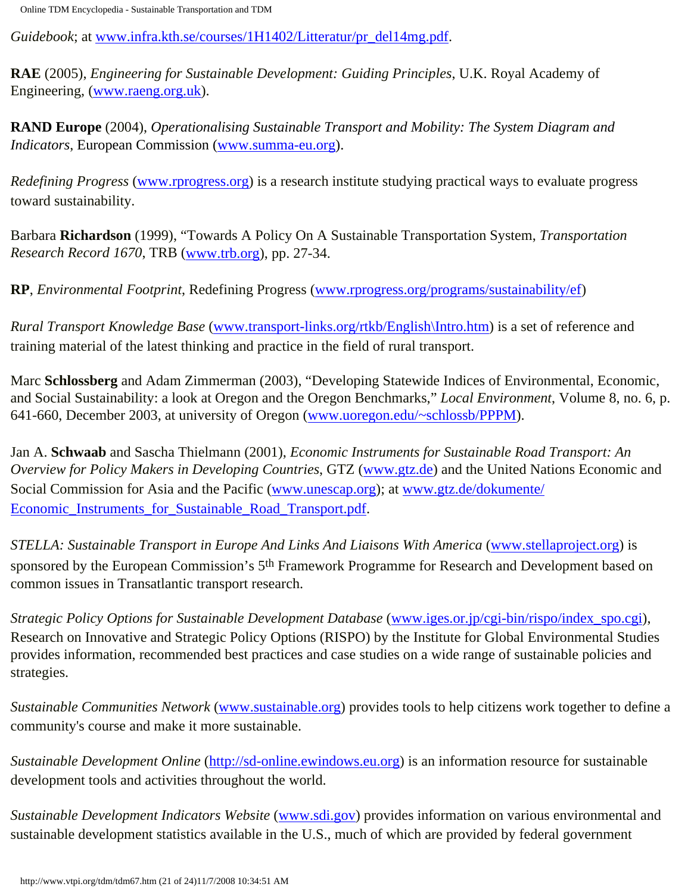*Guidebook*; at [www.infra.kth.se/courses/1H1402/Litteratur/pr\\_del14mg.pdf.](http://www.infra.kth.se/courses/1H1402/Litteratur/pr_del14mg.pdf)

**RAE** (2005), *Engineering for Sustainable Development: Guiding Principles*, U.K. Royal Academy of Engineering, ([www.raeng.org.uk](http://www.raeng.org.uk/)).

**RAND Europe** (2004), *Operationalising Sustainable Transport and Mobility: The System Diagram and Indicators*, European Commission ([www.summa-eu.org](http://www.summa-eu.org/)).

*Redefining Progress* ([www.rprogress.org\)](http://www.rprogress.org/) is a research institute studying practical ways to evaluate progress toward sustainability.

Barbara **Richardson** (1999), "Towards A Policy On A Sustainable Transportation System, *Transportation Research Record 1670*, TRB ([www.trb.org](http://www.trb.org/)), pp. 27-34.

**RP**, *Environmental Footprint*, Redefining Progress [\(www.rprogress.org/programs/sustainability/ef](http://www.rprogress.org/programs/sustainability/ef))

*Rural Transport Knowledge Base* [\(www.transport-links.org/rtkb/English\Intro.htm\)](http://www.transport-links.org/rtkb/English/Intro.htm) is a set of reference and training material of the latest thinking and practice in the field of rural transport.

Marc **Schlossberg** and Adam Zimmerman (2003), "Developing Statewide Indices of Environmental, Economic, and Social Sustainability: a look at Oregon and the Oregon Benchmarks," *Local Environment*, Volume 8, no. 6, p. 641-660, December 2003, at university of Oregon ([www.uoregon.edu/~schlossb/PPPM\)](http://www.uoregon.edu/~schlossb/PPPM).

Jan A. **Schwaab** and Sascha Thielmann (2001), *Economic Instruments for Sustainable Road Transport: An Overview for Policy Makers in Developing Countries*, GTZ ([www.gtz.de\)](http://www.gtz.de/) and the United Nations Economic and Social Commission for Asia and the Pacific ([www.unescap.org](http://www.unescap.org/)); at [www.gtz.de/dokumente/](http://www.gtz.de/dokumente/Economic_Instruments_for_Sustainable_Road_Transport.pdf) Economic Instruments for Sustainable Road Transport.pdf.

*STELLA: Sustainable Transport in Europe And Links And Liaisons With America* [\(www.stellaproject.org\)](http://www.stellaproject.org/) is sponsored by the European Commission's 5<sup>th</sup> Framework Programme for Research and Development based on common issues in Transatlantic transport research.

*Strategic Policy Options for Sustainable Development Database* ([www.iges.or.jp/cgi-bin/rispo/index\\_spo.cgi](http://www.iges.or.jp/cgi-bin/rispo/index_spo.cgi)), Research on Innovative and Strategic Policy Options (RISPO) by the Institute for Global Environmental Studies provides information, recommended best practices and case studies on a wide range of sustainable policies and strategies.

*Sustainable Communities Network* ([www.sustainable.org\)](http://www.sustainable.org/) provides tools to help citizens work together to define a community's course and make it more sustainable.

*Sustainable Development Online* [\(http://sd-online.ewindows.eu.org](http://sd-online.ewindows.eu.org/)) is an information resource for sustainable development tools and activities throughout the world.

*Sustainable Development Indicators Website* ([www.sdi.gov](http://www.sdi.gov/)) provides information on various environmental and sustainable development statistics available in the U.S., much of which are provided by federal government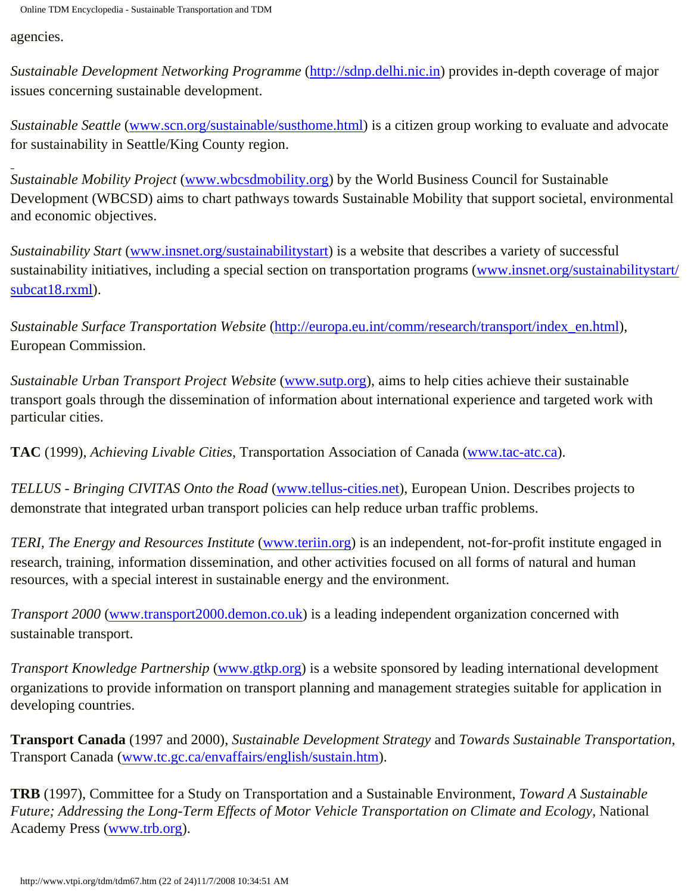agencies.

*Sustainable Development Networking Programme* ([http://sdnp.delhi.nic.in](http://sdnp.delhi.nic.in/)) provides in-depth coverage of major issues concerning sustainable development.

*Sustainable Seattle* ([www.scn.org/sustainable/susthome.html\)](http://www.scn.org/sustainable/susthome.html) is a citizen group working to evaluate and advocate for sustainability in Seattle/King County region.

*Sustainable Mobility Project* [\(www.wbcsdmobility.org](http://www.wbcsdmobility.org/)) by the World Business Council for Sustainable Development (WBCSD) aims to chart pathways towards Sustainable Mobility that support societal, environmental and economic objectives.

*Sustainability Start* [\(www.insnet.org/sustainabilitystart\)](http://www.insnet.org/sustainabilitystart) is a website that describes a variety of successful sustainability initiatives, including a special section on transportation programs ([www.insnet.org/sustainabilitystart/](http://www.insnet.org/sustainabilitystart/subcat18.rxml) [subcat18.rxml](http://www.insnet.org/sustainabilitystart/subcat18.rxml)).

*Sustainable Surface Transportation Website* [\(http://europa.eu.int/comm/research/transport/index\\_en.html\)](http://europa.eu.int/comm/research/transport/index_en.html), European Commission.

*Sustainable Urban Transport Project Website* [\(www.sutp.org\)](http://www.sutp.org/), aims to help cities achieve their sustainable transport goals through the dissemination of information about international experience and targeted work with particular cities.

**TAC** (1999), *Achieving Livable Cities*, Transportation Association of Canada [\(www.tac-atc.ca\)](http://www.tac-atc.ca/).

*TELLUS - Bringing CIVITAS Onto the Road* [\(www.tellus-cities.net\)](http://www.tellus-cities.net/), European Union. Describes projects to demonstrate that integrated urban transport policies can help reduce urban traffic problems.

*TERI, The Energy and Resources Institute* ([www.teriin.org](http://www.teriin.org/)) is an independent, not-for-profit institute engaged in research, training, information dissemination, and other activities focused on all forms of natural and human resources, with a special interest in sustainable energy and the environment.

*Transport 2000* ([www.transport2000.demon.co.uk](http://www.transport2000.demon.co.uk/)) is a leading independent organization concerned with sustainable transport.

*Transport Knowledge Partnership* [\(www.gtkp.org](http://www.gtkp.org/)) is a website sponsored by leading international development organizations to provide information on transport planning and management strategies suitable for application in developing countries.

**Transport Canada** (1997 and 2000), *Sustainable Development Strategy* and *Towards Sustainable Transportation*, Transport Canada [\(www.tc.gc.ca/envaffairs/english/sustain.htm\)](http://www.tc.gc.ca/envaffairs/english/sustain.htm).

**TRB** (1997), Committee for a Study on Transportation and a Sustainable Environment, *Toward A Sustainable Future; Addressing the Long-Term Effects of Motor Vehicle Transportation on Climate and Ecology*, National Academy Press [\(www.trb.org](http://www.trb.org/)).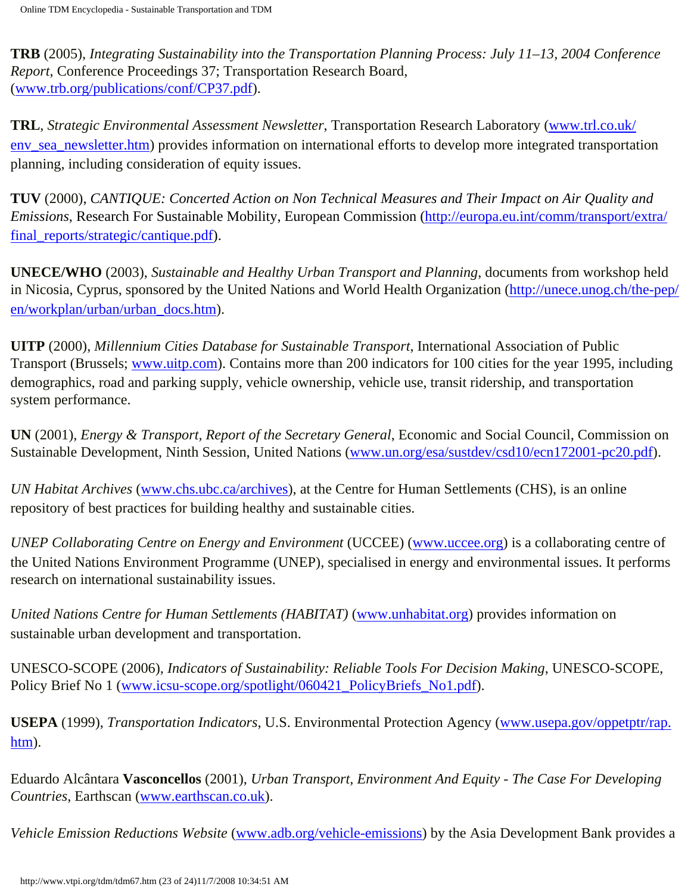**TRB** (2005), *Integrating Sustainability into the Transportation Planning Process: July 11–13, 2004 Conference Report*, Conference Proceedings 37; Transportation Research Board, ([www.trb.org/publications/conf/CP37.pdf\)](http://www.trb.org/publications/conf/CP37.pdf).

**TRL**, *Strategic Environmental Assessment Newsletter*, Transportation Research Laboratory ([www.trl.co.uk/](http://www.trl.co.uk/env_sea_newsletter.htm) [env\\_sea\\_newsletter.htm\)](http://www.trl.co.uk/env_sea_newsletter.htm) provides information on international efforts to develop more integrated transportation planning, including consideration of equity issues.

**TUV** (2000), *CANTIQUE: Concerted Action on Non Technical Measures and Their Impact on Air Quality and Emissions*, Research For Sustainable Mobility, European Commission ([http://europa.eu.int/comm/transport/extra/](http://europa.eu.int/comm/transport/extra/final_reports/strategic/cantique.pdf) [final\\_reports/strategic/cantique.pdf\)](http://europa.eu.int/comm/transport/extra/final_reports/strategic/cantique.pdf).

**UNECE/WHO** (2003), *Sustainable and Healthy Urban Transport and Planning*, documents from workshop held in Nicosia, Cyprus, sponsored by the United Nations and World Health Organization ([http://unece.unog.ch/the-pep/](http://unece.unog.ch/the-pep/en/workplan/urban/urban_docs.htm) [en/workplan/urban/urban\\_docs.htm\)](http://unece.unog.ch/the-pep/en/workplan/urban/urban_docs.htm).

**UITP** (2000), *Millennium Cities Database for Sustainable Transport*, International Association of Public Transport (Brussels; [www.uitp.com\)](http://www.uitp.com/). Contains more than 200 indicators for 100 cities for the year 1995, including demographics, road and parking supply, vehicle ownership, vehicle use, transit ridership, and transportation system performance.

**UN** (2001), *Energy & Transport, Report of the Secretary General*, Economic and Social Council, Commission on Sustainable Development, Ninth Session, United Nations [\(www.un.org/esa/sustdev/csd10/ecn172001-pc20.pdf\)](http://www.un.org/esa/sustdev/csd10/ecn172001-pc20.pdf).

*UN Habitat Archives* ([www.chs.ubc.ca/archives](http://www.chs.ubc.ca/archives)), at the Centre for Human Settlements (CHS), is an online repository of best practices for building healthy and sustainable cities.

*UNEP Collaborating Centre on Energy and Environment* (UCCEE) ([www.uccee.org\)](http://www.uccee.org/) is a collaborating centre of the United Nations Environment Programme (UNEP), specialised in energy and environmental issues. It performs research on international sustainability issues.

*United Nations Centre for Human Settlements (HABITAT)* [\(www.unhabitat.org](http://www.unhabitat.org/)) provides information on sustainable urban development and transportation.

UNESCO-SCOPE (2006), *Indicators of Sustainability: Reliable Tools For Decision Making*, UNESCO-SCOPE, Policy Brief No 1 [\(www.icsu-scope.org/spotlight/060421\\_PolicyBriefs\\_No1.pdf](http://www.icsu-scope.org/spotlight/060421_PolicyBriefs_No1.pdf)).

**USEPA** (1999), *Transportation Indicators*, U.S. Environmental Protection Agency [\(www.usepa.gov/oppetptr/rap.](http://www.usepa.gov/oppetptr/rap.htm) [htm](http://www.usepa.gov/oppetptr/rap.htm)).

Eduardo Alcântara **Vasconcellos** (2001), *Urban Transport, Environment And Equity - The Case For Developing Countries*, Earthscan [\(www.earthscan.co.uk\)](http://www.earthscan.co.uk/).

*Vehicle Emission Reductions Website* [\(www.adb.org/vehicle-emissions](http://www.adb.org/vehicle-emissions)) by the Asia Development Bank provides a